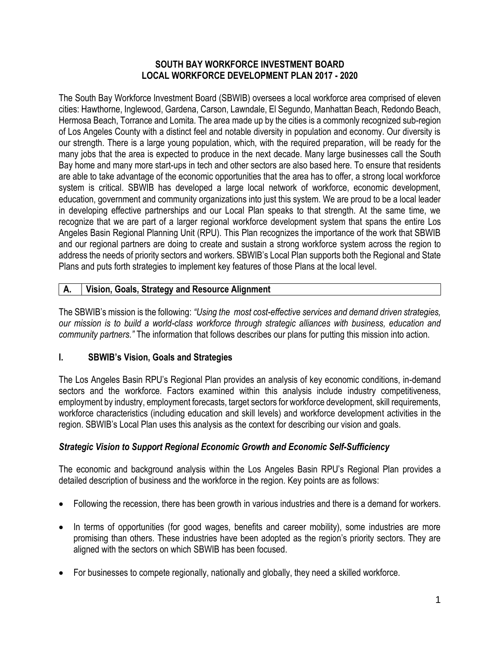#### **SOUTH BAY WORKFORCE INVESTMENT BOARD LOCAL WORKFORCE DEVELOPMENT PLAN 2017 - 2020**

The South Bay Workforce Investment Board (SBWIB) oversees a local workforce area comprised of eleven cities: Hawthorne, Inglewood, Gardena, Carson, Lawndale, El Segundo, Manhattan Beach, Redondo Beach, Hermosa Beach, Torrance and Lomita. The area made up by the cities is a commonly recognized sub-region of Los Angeles County with a distinct feel and notable diversity in population and economy. Our diversity is our strength. There is a large young population, which, with the required preparation, will be ready for the many jobs that the area is expected to produce in the next decade. Many large businesses call the South Bay home and many more start-ups in tech and other sectors are also based here. To ensure that residents are able to take advantage of the economic opportunities that the area has to offer, a strong local workforce system is critical. SBWIB has developed a large local network of workforce, economic development, education, government and community organizations into just this system. We are proud to be a local leader in developing effective partnerships and our Local Plan speaks to that strength. At the same time, we recognize that we are part of a larger regional workforce development system that spans the entire Los Angeles Basin Regional Planning Unit (RPU). This Plan recognizes the importance of the work that SBWIB and our regional partners are doing to create and sustain a strong workforce system across the region to address the needs of priority sectors and workers. SBWIB's Local Plan supports both the Regional and State Plans and puts forth strategies to implement key features of those Plans at the local level.

# **A. Vision, Goals, Strategy and Resource Alignment**

The SBWIB's mission is the following: *"Using the most cost-effective services and demand driven strategies, our mission is to build a world-class workforce through strategic alliances with business, education and community partners."* The information that follows describes our plans for putting this mission into action.

# **I. SBWIB's Vision, Goals and Strategies**

The Los Angeles Basin RPU's Regional Plan provides an analysis of key economic conditions, in-demand sectors and the workforce. Factors examined within this analysis include industry competitiveness, employment by industry, employment forecasts, target sectors for workforce development, skill requirements, workforce characteristics (including education and skill levels) and workforce development activities in the region. SBWIB's Local Plan uses this analysis as the context for describing our vision and goals.

# *Strategic Vision to Support Regional Economic Growth and Economic Self-Sufficiency*

The economic and background analysis within the Los Angeles Basin RPU's Regional Plan provides a detailed description of business and the workforce in the region. Key points are as follows:

- Following the recession, there has been growth in various industries and there is a demand for workers.
- In terms of opportunities (for good wages, benefits and career mobility), some industries are more promising than others. These industries have been adopted as the region's priority sectors. They are aligned with the sectors on which SBWIB has been focused.
- For businesses to compete regionally, nationally and globally, they need a skilled workforce.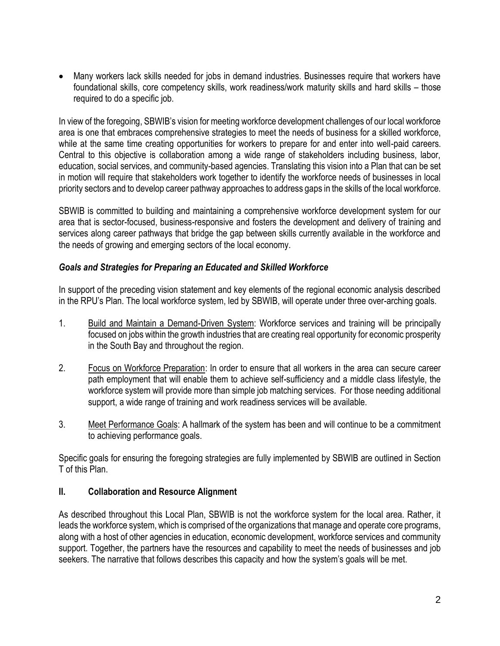Many workers lack skills needed for jobs in demand industries. Businesses require that workers have foundational skills, core competency skills, work readiness/work maturity skills and hard skills – those required to do a specific job.

In view of the foregoing, SBWIB's vision for meeting workforce development challenges of our local workforce area is one that embraces comprehensive strategies to meet the needs of business for a skilled workforce, while at the same time creating opportunities for workers to prepare for and enter into well-paid careers. Central to this objective is collaboration among a wide range of stakeholders including business, labor, education, social services, and community-based agencies. Translating this vision into a Plan that can be set in motion will require that stakeholders work together to identify the workforce needs of businesses in local priority sectors and to develop career pathway approaches to address gaps in the skills of the local workforce.

SBWIB is committed to building and maintaining a comprehensive workforce development system for our area that is sector-focused, business-responsive and fosters the development and delivery of training and services along career pathways that bridge the gap between skills currently available in the workforce and the needs of growing and emerging sectors of the local economy.

#### *Goals and Strategies for Preparing an Educated and Skilled Workforce*

In support of the preceding vision statement and key elements of the regional economic analysis described in the RPU's Plan. The local workforce system, led by SBWIB, will operate under three over-arching goals.

- 1. Build and Maintain a Demand-Driven System: Workforce services and training will be principally focused on jobs within the growth industries that are creating real opportunity for economic prosperity in the South Bay and throughout the region.
- 2. Focus on Workforce Preparation: In order to ensure that all workers in the area can secure career path employment that will enable them to achieve self-sufficiency and a middle class lifestyle, the workforce system will provide more than simple job matching services. For those needing additional support, a wide range of training and work readiness services will be available.
- 3. Meet Performance Goals: A hallmark of the system has been and will continue to be a commitment to achieving performance goals.

Specific goals for ensuring the foregoing strategies are fully implemented by SBWIB are outlined in Section T of this Plan.

#### **II. Collaboration and Resource Alignment**

As described throughout this Local Plan, SBWIB is not the workforce system for the local area. Rather, it leads the workforce system, which is comprised of the organizations that manage and operate core programs, along with a host of other agencies in education, economic development, workforce services and community support. Together, the partners have the resources and capability to meet the needs of businesses and job seekers. The narrative that follows describes this capacity and how the system's goals will be met.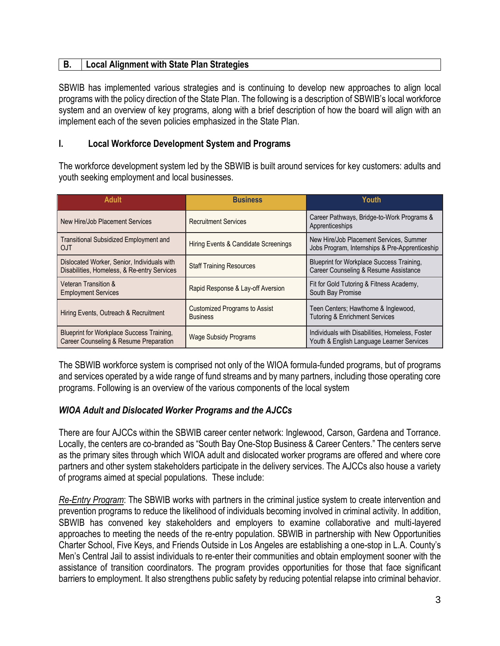# **B. Local Alignment with State Plan Strategies**

SBWIB has implemented various strategies and is continuing to develop new approaches to align local programs with the policy direction of the State Plan. The following is a description of SBWIB's local workforce system and an overview of key programs, along with a brief description of how the board will align with an implement each of the seven policies emphasized in the State Plan.

#### **I. Local Workforce Development System and Programs**

The workforce development system led by the SBWIB is built around services for key customers: adults and youth seeking employment and local businesses.

| <b>Adult</b>                                                                               | <b>Business</b>                                         | Youth                                                                                        |
|--------------------------------------------------------------------------------------------|---------------------------------------------------------|----------------------------------------------------------------------------------------------|
| New Hire/Job Placement Services                                                            | <b>Recruitment Services</b>                             | Career Pathways, Bridge-to-Work Programs &<br>Apprenticeships                                |
| <b>Transitional Subsidized Employment and</b><br>OJT                                       | Hiring Events & Candidate Screenings                    | New Hire/Job Placement Services, Summer<br>Jobs Program, Internships & Pre-Apprenticeship    |
| Dislocated Worker, Senior, Individuals with<br>Disabilities, Homeless, & Re-entry Services | <b>Staff Training Resources</b>                         | Blueprint for Workplace Success Training.<br>Career Counseling & Resume Assistance           |
| Veteran Transition &<br><b>Employment Services</b>                                         | Rapid Response & Lay-off Aversion                       | Fit for Gold Tutoring & Fitness Academy,<br>South Bay Promise                                |
| Hiring Events, Outreach & Recruitment                                                      | <b>Customized Programs to Assist</b><br><b>Business</b> | Teen Centers; Hawthorne & Inglewood,<br><b>Tutoring &amp; Enrichment Services</b>            |
| Blueprint for Workplace Success Training,<br>Career Counseling & Resume Preparation        | <b>Wage Subsidy Programs</b>                            | Individuals with Disabilities, Homeless, Foster<br>Youth & English Language Learner Services |

The SBWIB workforce system is comprised not only of the WIOA formula-funded programs, but of programs and services operated by a wide range of fund streams and by many partners, including those operating core programs. Following is an overview of the various components of the local system

#### *WIOA Adult and Dislocated Worker Programs and the AJCCs*

There are four AJCCs within the SBWIB career center network: Inglewood, Carson, Gardena and Torrance. Locally, the centers are co-branded as "South Bay One-Stop Business & Career Centers." The centers serve as the primary sites through which WIOA adult and dislocated worker programs are offered and where core partners and other system stakeholders participate in the delivery services. The AJCCs also house a variety of programs aimed at special populations. These include:

*Re-Entry Program*: The SBWIB works with partners in the criminal justice system to create intervention and prevention programs to reduce the likelihood of individuals becoming involved in criminal activity. In addition, SBWIB has convened key stakeholders and employers to examine collaborative and multi-layered approaches to meeting the needs of the re-entry population. SBWIB in partnership with New Opportunities Charter School, Five Keys, and Friends Outside in Los Angeles are establishing a one-stop in L.A. County's Men's Central Jail to assist individuals to re-enter their communities and obtain employment sooner with the assistance of transition coordinators. The program provides opportunities for those that face significant barriers to employment. It also strengthens public safety by reducing potential relapse into criminal behavior.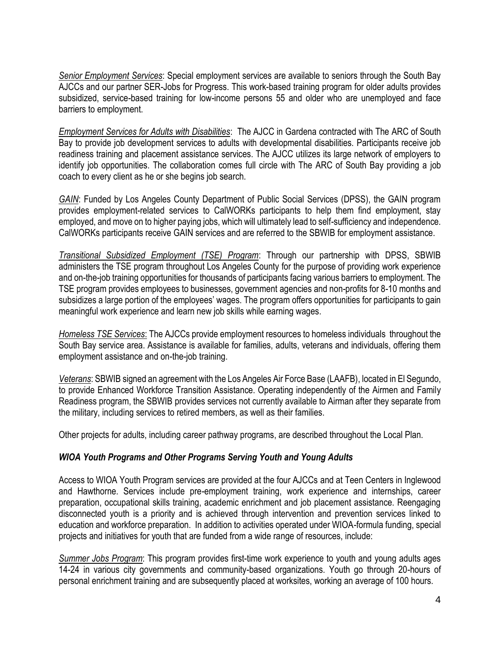*Senior Employment Services*: Special employment services are available to seniors through the South Bay AJCCs and our partner SER-Jobs for Progress. This work-based training program for older adults provides subsidized, service-based training for low-income persons 55 and older who are unemployed and face barriers to employment.

*Employment Services for Adults with Disabilities*: The AJCC in Gardena contracted with The ARC of South Bay to provide job development services to adults with developmental disabilities. Participants receive job readiness training and placement assistance services. The AJCC utilizes its large network of employers to identify job opportunities. The collaboration comes full circle with The ARC of South Bay providing a job coach to every client as he or she begins job search.

*GAIN*: Funded by Los Angeles County Department of Public Social Services (DPSS), the GAIN program provides employment-related services to CalWORKs participants to help them find employment, stay employed, and move on to higher paying jobs, which will ultimately lead to self-sufficiency and independence. CalWORKs participants receive GAIN services and are referred to the SBWIB for employment assistance.

*Transitional Subsidized Employment (TSE) Program*: Through our partnership with DPSS, SBWIB administers the TSE program throughout Los Angeles County for the purpose of providing work experience and on-the-job training opportunities for thousands of participants facing various barriers to employment. The TSE program provides employees to businesses, government agencies and non-profits for 8-10 months and subsidizes a large portion of the employees' wages. The program offers opportunities for participants to gain meaningful work experience and learn new job skills while earning wages.

*Homeless TSE Services*: The AJCCs provide employment resources to homeless individuals throughout the South Bay service area. Assistance is available for families, adults, veterans and individuals, offering them employment assistance and on-the-job training.

*Veterans*: SBWIB signed an agreement with the Los Angeles Air Force Base (LAAFB), located in El Segundo, to provide Enhanced Workforce Transition Assistance. Operating independently of the Airmen and Family Readiness program, the SBWIB provides services not currently available to Airman after they separate from the military, including services to retired members, as well as their families.

Other projects for adults, including career pathway programs, are described throughout the Local Plan.

#### *WIOA Youth Programs and Other Programs Serving Youth and Young Adults*

Access to WIOA Youth Program services are provided at the four AJCCs and at Teen Centers in Inglewood and Hawthorne. Services include pre-employment training, work experience and internships, career preparation, occupational skills training, academic enrichment and job placement assistance. Reengaging disconnected youth is a priority and is achieved through intervention and prevention services linked to education and workforce preparation. In addition to activities operated under WIOA-formula funding, special projects and initiatives for youth that are funded from a wide range of resources, include:

*Summer Jobs Program*: This program provides first-time work experience to youth and young adults ages 14-24 in various city governments and community-based organizations. Youth go through 20-hours of personal enrichment training and are subsequently placed at worksites, working an average of 100 hours.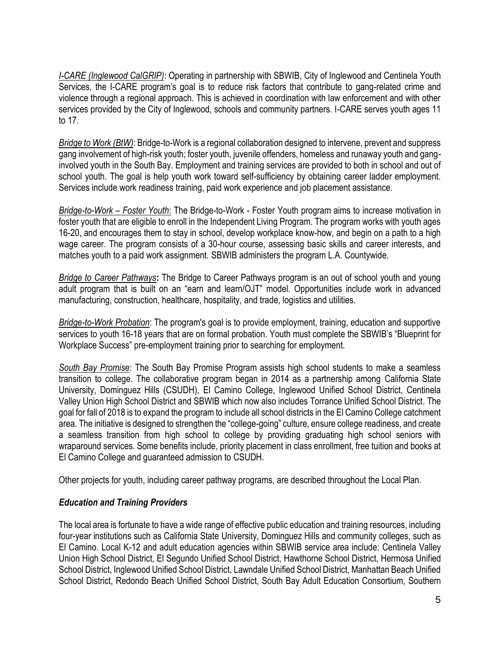*I-CARE (Inglewood CalGRIP)*: Operating in partnership with SBWIB, City of Inglewood and Centinela Youth Services, the I-CARE program's goal is to reduce risk factors that contribute to gang-related crime and violence through a regional approach. This is achieved in coordination with law enforcement and with other services provided by the City of Inglewood, schools and community partners. I-CARE serves youth ages 11 to 17.

*Bridge to Work (BtW)*: Bridge-to-Work is a regional collaboration designed to intervene, prevent and suppress gang involvement of high-risk youth; foster youth, juvenile offenders, homeless and runaway youth and ganginvolved youth in the South Bay. Employment and training services are provided to both in school and out of school youth. The goal is help youth work toward self-sufficiency by obtaining career ladder employment. Services include work readiness training, paid work experience and job placement assistance.

*Bridge-to-Work – Foster Youth*: The Bridge-to-Work - Foster Youth program aims to increase motivation in foster youth that are eligible to enroll in the Independent Living Program. The program works with youth ages 16-20, and encourages them to stay in school, develop workplace know-how, and begin on a path to a high wage career. The program consists of a 30-hour course, assessing basic skills and career interests, and matches youth to a paid work assignment. SBWIB administers the program L.A. Countywide.

*Bridge to Career Pathways***:** The Bridge to Career Pathways program is an out of school youth and young adult program that is built on an "earn and learn/OJT" model. Opportunities include work in advanced manufacturing, construction, healthcare, hospitality, and trade, logistics and utilities.

*Bridge-to-Work Probation*: The program's goal is to provide employment, training, education and supportive services to youth 16-18 years that are on formal probation. Youth must complete the SBWIB's "Blueprint for Workplace Success" pre-employment training prior to searching for employment.

*South Bay Promise*: The South Bay Promise Program assists high school students to make a seamless transition to college. The collaborative program began in 2014 as a partnership among California State University, Dominguez Hills (CSUDH), El Camino College, Inglewood Unified School District, Centinela Valley Union High School District and SBWIB which now also includes Torrance Unified School District. The goal for fall of 2018 is to expand the program to include all school districts in the El Camino College catchment area. The initiative is designed to strengthen the "college-going" culture, ensure college readiness, and create a seamless transition from high school to college by providing graduating high school seniors with wraparound services. Some benefits include, priority placement in class enrollment, free tuition and books at El Camino College and guaranteed admission to CSUDH.

Other projects for youth, including career pathway programs, are described throughout the Local Plan.

#### *Education and Training Providers*

The local area is fortunate to have a wide range of effective public education and training resources, including four-year institutions such as California State University, Dominguez Hills and community colleges, such as El Camino. Local K-12 and adult education agencies within SBWIB service area include: Centinela Valley Union High School District, El Segundo Unified School District, Hawthorne School District, Hermosa Unified School District, Inglewood Unified School District, Lawndale Unified School District, Manhattan Beach Unified School District, Redondo Beach Unified School District, South Bay Adult Education Consortium, Southern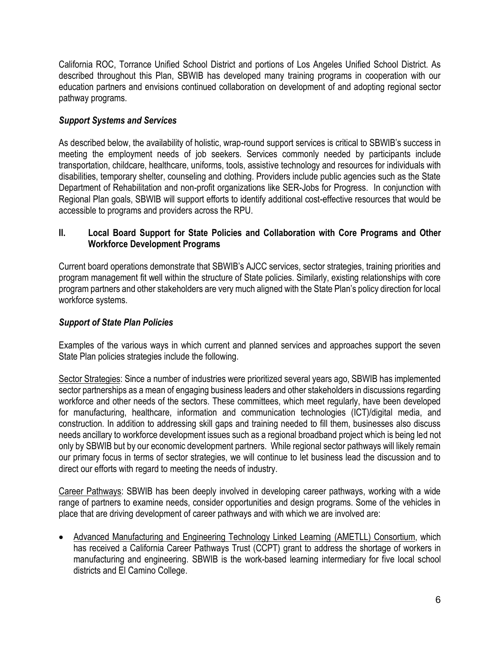California ROC, Torrance Unified School District and portions of Los Angeles Unified School District. As described throughout this Plan, SBWIB has developed many training programs in cooperation with our education partners and envisions continued collaboration on development of and adopting regional sector pathway programs.

# *Support Systems and Services*

As described below, the availability of holistic, wrap-round support services is critical to SBWIB's success in meeting the employment needs of job seekers. Services commonly needed by participants include transportation, childcare, healthcare, uniforms, tools, assistive technology and resources for individuals with disabilities, temporary shelter, counseling and clothing. Providers include public agencies such as the State Department of Rehabilitation and non-profit organizations like SER-Jobs for Progress. In conjunction with Regional Plan goals, SBWIB will support efforts to identify additional cost-effective resources that would be accessible to programs and providers across the RPU.

### **II. Local Board Support for State Policies and Collaboration with Core Programs and Other Workforce Development Programs**

Current board operations demonstrate that SBWIB's AJCC services, sector strategies, training priorities and program management fit well within the structure of State policies. Similarly, existing relationships with core program partners and other stakeholders are very much aligned with the State Plan's policy direction for local workforce systems.

# *Support of State Plan Policies*

Examples of the various ways in which current and planned services and approaches support the seven State Plan policies strategies include the following.

Sector Strategies: Since a number of industries were prioritized several years ago, SBWIB has implemented sector partnerships as a mean of engaging business leaders and other stakeholders in discussions regarding workforce and other needs of the sectors. These committees, which meet regularly, have been developed for manufacturing, healthcare, information and communication technologies (ICT)/digital media, and construction. In addition to addressing skill gaps and training needed to fill them, businesses also discuss needs ancillary to workforce development issues such as a regional broadband project which is being led not only by SBWIB but by our economic development partners. While regional sector pathways will likely remain our primary focus in terms of sector strategies, we will continue to let business lead the discussion and to direct our efforts with regard to meeting the needs of industry.

Career Pathways: SBWIB has been deeply involved in developing career pathways, working with a wide range of partners to examine needs, consider opportunities and design programs. Some of the vehicles in place that are driving development of career pathways and with which we are involved are:

• Advanced Manufacturing and Engineering Technology Linked Learning (AMETLL) Consortium, which has received a California Career Pathways Trust (CCPT) grant to address the shortage of workers in manufacturing and engineering. SBWIB is the work-based learning intermediary for five local school districts and El Camino College.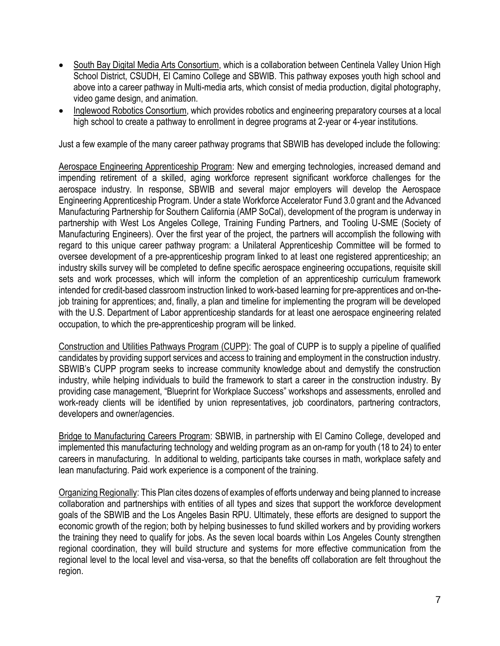- South Bay Digital Media Arts Consortium, which is a collaboration between Centinela Valley Union High School District, CSUDH, El Camino College and SBWIB. This pathway exposes youth high school and above into a career pathway in Multi-media arts, which consist of media production, digital photography, video game design, and animation.
- Inglewood Robotics Consortium, which provides robotics and engineering preparatory courses at a local high school to create a pathway to enrollment in degree programs at 2-year or 4-year institutions.

Just a few example of the many career pathway programs that SBWIB has developed include the following:

Aerospace Engineering Apprenticeship Program: New and emerging technologies, increased demand and impending retirement of a skilled, aging workforce represent significant workforce challenges for the aerospace industry. In response, SBWIB and several major employers will develop the Aerospace Engineering Apprenticeship Program. Under a state Workforce Accelerator Fund 3.0 grant and the Advanced Manufacturing Partnership for Southern California (AMP SoCal), development of the program is underway in partnership with West Los Angeles College, Training Funding Partners, and Tooling U-SME (Society of Manufacturing Engineers). Over the first year of the project, the partners will accomplish the following with regard to this unique career pathway program: a Unilateral Apprenticeship Committee will be formed to oversee development of a pre-apprenticeship program linked to at least one registered apprenticeship; an industry skills survey will be completed to define specific aerospace engineering occupations, requisite skill sets and work processes, which will inform the completion of an apprenticeship curriculum framework intended for credit-based classroom instruction linked to work-based learning for pre-apprentices and on-thejob training for apprentices; and, finally, a plan and timeline for implementing the program will be developed with the U.S. Department of Labor apprenticeship standards for at least one aerospace engineering related occupation, to which the pre-apprenticeship program will be linked.

Construction and Utilities Pathways Program (CUPP): The goal of CUPP is to supply a pipeline of qualified candidates by providing support services and access to training and employment in the construction industry. SBWIB's CUPP program seeks to increase community knowledge about and demystify the construction industry, while helping individuals to build the framework to start a career in the construction industry. By providing case management, "Blueprint for Workplace Success" workshops and assessments, enrolled and work-ready clients will be identified by union representatives, job coordinators, partnering contractors, developers and owner/agencies.

Bridge to Manufacturing Careers Program: SBWIB, in partnership with El Camino College, developed and implemented this manufacturing technology and welding program as an on-ramp for youth (18 to 24) to enter careers in manufacturing. In additional to welding, participants take courses in math, workplace safety and lean manufacturing. Paid work experience is a component of the training.

Organizing Regionally: This Plan cites dozens of examples of efforts underway and being planned to increase collaboration and partnerships with entities of all types and sizes that support the workforce development goals of the SBWIB and the Los Angeles Basin RPU. Ultimately, these efforts are designed to support the economic growth of the region; both by helping businesses to fund skilled workers and by providing workers the training they need to qualify for jobs. As the seven local boards within Los Angeles County strengthen regional coordination, they will build structure and systems for more effective communication from the regional level to the local level and visa-versa, so that the benefits off collaboration are felt throughout the region.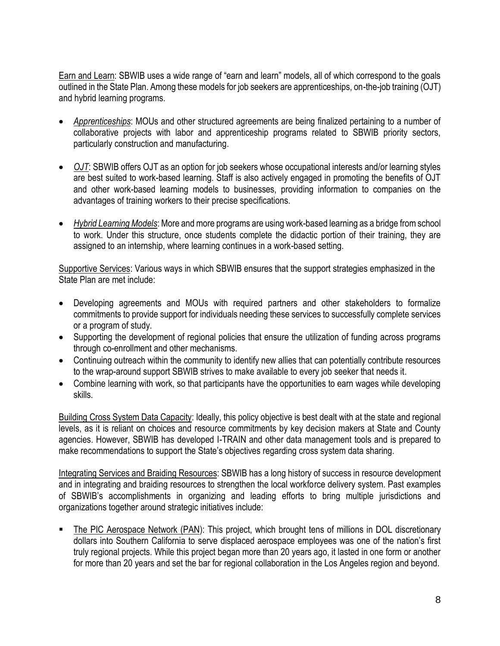Earn and Learn: SBWIB uses a wide range of "earn and learn" models, all of which correspond to the goals outlined in the State Plan. Among these models for job seekers are apprenticeships, on-the-job training (OJT) and hybrid learning programs.

- *Apprenticeships*: MOUs and other structured agreements are being finalized pertaining to a number of collaborative projects with labor and apprenticeship programs related to SBWIB priority sectors, particularly construction and manufacturing.
- *OJT*: SBWIB offers OJT as an option for job seekers whose occupational interests and/or learning styles are best suited to work-based learning. Staff is also actively engaged in promoting the benefits of OJT and other work-based learning models to businesses, providing information to companies on the advantages of training workers to their precise specifications.
- *Hybrid Learning Models*: More and more programs are using work-based learning as a bridge from school to work. Under this structure, once students complete the didactic portion of their training, they are assigned to an internship, where learning continues in a work-based setting.

Supportive Services: Various ways in which SBWIB ensures that the support strategies emphasized in the State Plan are met include:

- Developing agreements and MOUs with required partners and other stakeholders to formalize commitments to provide support for individuals needing these services to successfully complete services or a program of study.
- Supporting the development of regional policies that ensure the utilization of funding across programs through co-enrollment and other mechanisms.
- Continuing outreach within the community to identify new allies that can potentially contribute resources to the wrap-around support SBWIB strives to make available to every job seeker that needs it.
- Combine learning with work, so that participants have the opportunities to earn wages while developing skills.

Building Cross System Data Capacity: Ideally, this policy objective is best dealt with at the state and regional levels, as it is reliant on choices and resource commitments by key decision makers at State and County agencies. However, SBWIB has developed I-TRAIN and other data management tools and is prepared to make recommendations to support the State's objectives regarding cross system data sharing.

Integrating Services and Braiding Resources: SBWIB has a long history of success in resource development and in integrating and braiding resources to strengthen the local workforce delivery system. Past examples of SBWIB's accomplishments in organizing and leading efforts to bring multiple jurisdictions and organizations together around strategic initiatives include:

 The PIC Aerospace Network (PAN): This project, which brought tens of millions in DOL discretionary dollars into Southern California to serve displaced aerospace employees was one of the nation's first truly regional projects. While this project began more than 20 years ago, it lasted in one form or another for more than 20 years and set the bar for regional collaboration in the Los Angeles region and beyond.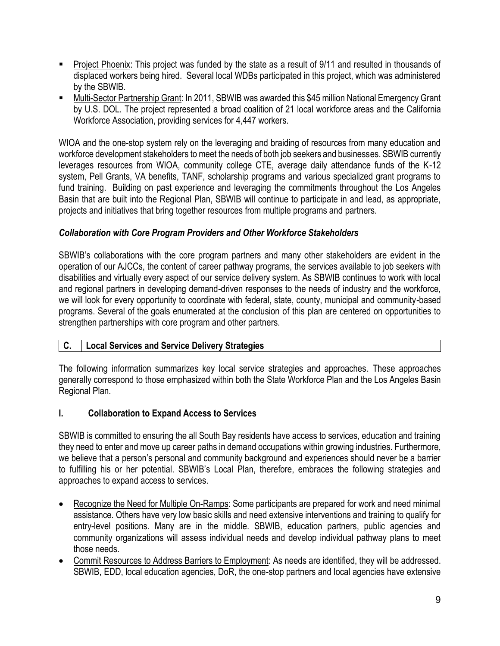- Project Phoenix: This project was funded by the state as a result of 9/11 and resulted in thousands of displaced workers being hired. Several local WDBs participated in this project, which was administered by the SBWIB.
- Multi-Sector Partnership Grant: In 2011, SBWIB was awarded this \$45 million National Emergency Grant by U.S. DOL. The project represented a broad coalition of 21 local workforce areas and the California Workforce Association, providing services for 4,447 workers.

WIOA and the one-stop system rely on the leveraging and braiding of resources from many education and workforce development stakeholders to meet the needs of both job seekers and businesses. SBWIB currently leverages resources from WIOA, community college CTE, average daily attendance funds of the K-12 system, Pell Grants, VA benefits, TANF, scholarship programs and various specialized grant programs to fund training. Building on past experience and leveraging the commitments throughout the Los Angeles Basin that are built into the Regional Plan, SBWIB will continue to participate in and lead, as appropriate, projects and initiatives that bring together resources from multiple programs and partners.

### *Collaboration with Core Program Providers and Other Workforce Stakeholders*

SBWIB's collaborations with the core program partners and many other stakeholders are evident in the operation of our AJCCs, the content of career pathway programs, the services available to job seekers with disabilities and virtually every aspect of our service delivery system. As SBWIB continues to work with local and regional partners in developing demand-driven responses to the needs of industry and the workforce, we will look for every opportunity to coordinate with federal, state, county, municipal and community-based programs. Several of the goals enumerated at the conclusion of this plan are centered on opportunities to strengthen partnerships with core program and other partners.

#### **C. Local Services and Service Delivery Strategies**

The following information summarizes key local service strategies and approaches. These approaches generally correspond to those emphasized within both the State Workforce Plan and the Los Angeles Basin Regional Plan.

# **I. Collaboration to Expand Access to Services**

SBWIB is committed to ensuring the all South Bay residents have access to services, education and training they need to enter and move up career paths in demand occupations within growing industries. Furthermore, we believe that a person's personal and community background and experiences should never be a barrier to fulfilling his or her potential. SBWIB's Local Plan, therefore, embraces the following strategies and approaches to expand access to services.

- Recognize the Need for Multiple On-Ramps: Some participants are prepared for work and need minimal assistance. Others have very low basic skills and need extensive interventions and training to qualify for entry-level positions. Many are in the middle. SBWIB, education partners, public agencies and community organizations will assess individual needs and develop individual pathway plans to meet those needs.
- Commit Resources to Address Barriers to Employment: As needs are identified, they will be addressed. SBWIB, EDD, local education agencies, DoR, the one-stop partners and local agencies have extensive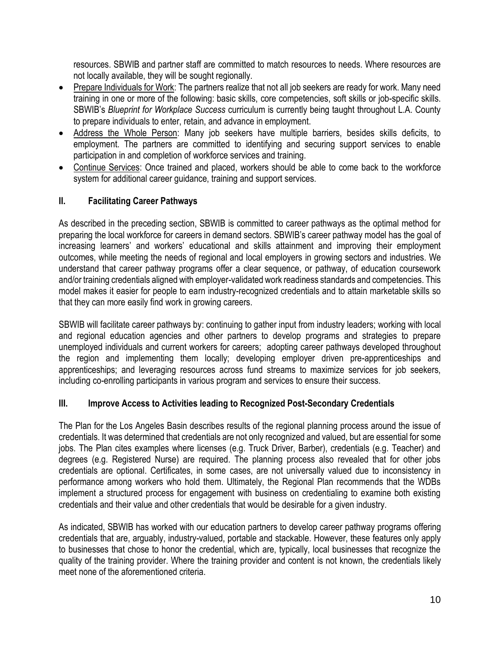resources. SBWIB and partner staff are committed to match resources to needs. Where resources are not locally available, they will be sought regionally.

- Prepare Individuals for Work: The partners realize that not all job seekers are ready for work. Many need training in one or more of the following: basic skills, core competencies, soft skills or job-specific skills. SBWIB's *Blueprint for Workplace Success* curriculum is currently being taught throughout L.A. County to prepare individuals to enter, retain, and advance in employment.
- Address the Whole Person: Many job seekers have multiple barriers, besides skills deficits, to employment. The partners are committed to identifying and securing support services to enable participation in and completion of workforce services and training.
- Continue Services: Once trained and placed, workers should be able to come back to the workforce system for additional career guidance, training and support services.

### **II. Facilitating Career Pathways**

As described in the preceding section, SBWIB is committed to career pathways as the optimal method for preparing the local workforce for careers in demand sectors. SBWIB's career pathway model has the goal of increasing learners' and workers' educational and skills attainment and improving their employment outcomes, while meeting the needs of regional and local employers in growing sectors and industries. We understand that career pathway programs offer a clear sequence, or pathway, of education coursework and/or training credentials aligned with employer-validated work readiness standards and competencies. This model makes it easier for people to earn industry-recognized credentials and to attain marketable skills so that they can more easily find work in growing careers.

SBWIB will facilitate career pathways by: continuing to gather input from industry leaders; working with local and regional education agencies and other partners to develop programs and strategies to prepare unemployed individuals and current workers for careers; adopting career pathways developed throughout the region and implementing them locally; developing employer driven pre-apprenticeships and apprenticeships; and leveraging resources across fund streams to maximize services for job seekers, including co-enrolling participants in various program and services to ensure their success.

#### **III. Improve Access to Activities leading to Recognized Post-Secondary Credentials**

The Plan for the Los Angeles Basin describes results of the regional planning process around the issue of credentials. It was determined that credentials are not only recognized and valued, but are essential for some jobs. The Plan cites examples where licenses (e.g. Truck Driver, Barber), credentials (e.g. Teacher) and degrees (e.g. Registered Nurse) are required. The planning process also revealed that for other jobs credentials are optional. Certificates, in some cases, are not universally valued due to inconsistency in performance among workers who hold them. Ultimately, the Regional Plan recommends that the WDBs implement a structured process for engagement with business on credentialing to examine both existing credentials and their value and other credentials that would be desirable for a given industry.

As indicated, SBWIB has worked with our education partners to develop career pathway programs offering credentials that are, arguably, industry-valued, portable and stackable. However, these features only apply to businesses that chose to honor the credential, which are, typically, local businesses that recognize the quality of the training provider. Where the training provider and content is not known, the credentials likely meet none of the aforementioned criteria.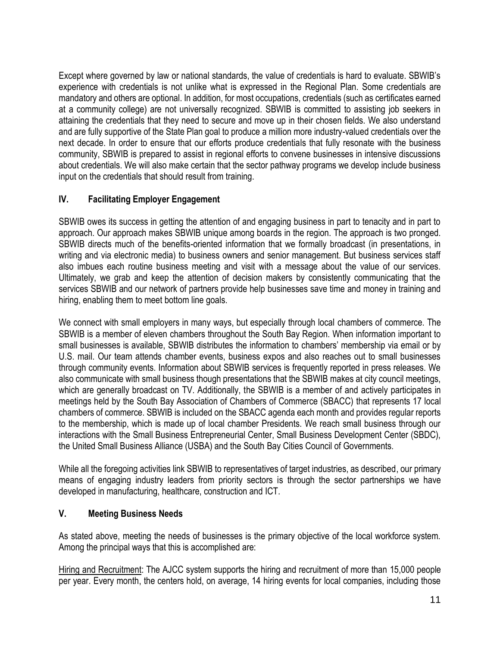Except where governed by law or national standards, the value of credentials is hard to evaluate. SBWIB's experience with credentials is not unlike what is expressed in the Regional Plan. Some credentials are mandatory and others are optional. In addition, for most occupations, credentials (such as certificates earned at a community college) are not universally recognized. SBWIB is committed to assisting job seekers in attaining the credentials that they need to secure and move up in their chosen fields. We also understand and are fully supportive of the State Plan goal to produce a million more industry-valued credentials over the next decade. In order to ensure that our efforts produce credentials that fully resonate with the business community, SBWIB is prepared to assist in regional efforts to convene businesses in intensive discussions about credentials. We will also make certain that the sector pathway programs we develop include business input on the credentials that should result from training.

# **IV. Facilitating Employer Engagement**

SBWIB owes its success in getting the attention of and engaging business in part to tenacity and in part to approach. Our approach makes SBWIB unique among boards in the region. The approach is two pronged. SBWIB directs much of the benefits-oriented information that we formally broadcast (in presentations, in writing and via electronic media) to business owners and senior management. But business services staff also imbues each routine business meeting and visit with a message about the value of our services. Ultimately, we grab and keep the attention of decision makers by consistently communicating that the services SBWIB and our network of partners provide help businesses save time and money in training and hiring, enabling them to meet bottom line goals.

We connect with small employers in many ways, but especially through local chambers of commerce. The SBWIB is a member of eleven chambers throughout the South Bay Region. When information important to small businesses is available, SBWIB distributes the information to chambers' membership via email or by U.S. mail. Our team attends chamber events, business expos and also reaches out to small businesses through community events. Information about SBWIB services is frequently reported in press releases. We also communicate with small business though presentations that the SBWIB makes at city council meetings, which are generally broadcast on TV. Additionally, the SBWIB is a member of and actively participates in meetings held by the South Bay Association of Chambers of Commerce (SBACC) that represents 17 local chambers of commerce. SBWIB is included on the SBACC agenda each month and provides regular reports to the membership, which is made up of local chamber Presidents. We reach small business through our interactions with the Small Business Entrepreneurial Center, Small Business Development Center (SBDC), the United Small Business Alliance (USBA) and the South Bay Cities Council of Governments.

While all the foregoing activities link SBWIB to representatives of target industries, as described, our primary means of engaging industry leaders from priority sectors is through the sector partnerships we have developed in manufacturing, healthcare, construction and ICT.

#### **V. Meeting Business Needs**

As stated above, meeting the needs of businesses is the primary objective of the local workforce system. Among the principal ways that this is accomplished are:

Hiring and Recruitment: The AJCC system supports the hiring and recruitment of more than 15,000 people per year. Every month, the centers hold, on average, 14 hiring events for local companies, including those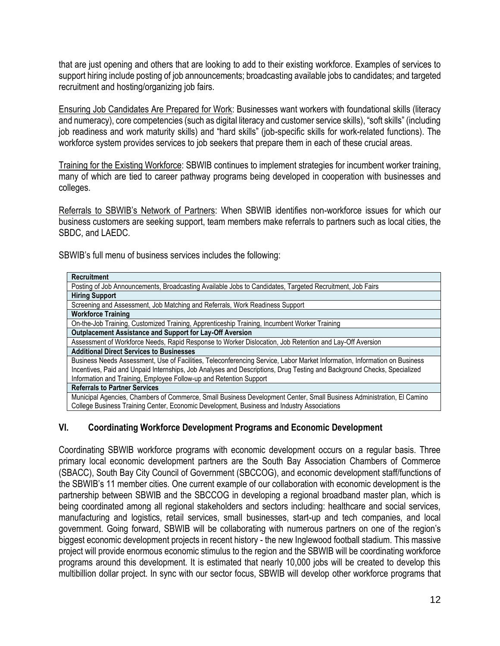that are just opening and others that are looking to add to their existing workforce. Examples of services to support hiring include posting of job announcements; broadcasting available jobs to candidates; and targeted recruitment and hosting/organizing job fairs.

Ensuring Job Candidates Are Prepared for Work: Businesses want workers with foundational skills (literacy and numeracy), core competencies (such as digital literacy and customer service skills), "soft skills" (including job readiness and work maturity skills) and "hard skills" (job-specific skills for work-related functions). The workforce system provides services to job seekers that prepare them in each of these crucial areas.

Training for the Existing Workforce: SBWIB continues to implement strategies for incumbent worker training, many of which are tied to career pathway programs being developed in cooperation with businesses and colleges.

Referrals to SBWIB's Network of Partners: When SBWIB identifies non-workforce issues for which our business customers are seeking support, team members make referrals to partners such as local cities, the SBDC, and LAEDC.

SBWIB's full menu of business services includes the following:

| <b>Recruitment</b>                                                                                                        |
|---------------------------------------------------------------------------------------------------------------------------|
| Posting of Job Announcements, Broadcasting Available Jobs to Candidates, Targeted Recruitment, Job Fairs                  |
| <b>Hiring Support</b>                                                                                                     |
| Screening and Assessment, Job Matching and Referrals, Work Readiness Support                                              |
| <b>Workforce Training</b>                                                                                                 |
| On-the-Job Training, Customized Training, Apprenticeship Training, Incumbent Worker Training                              |
| Outplacement Assistance and Support for Lay-Off Aversion                                                                  |
| Assessment of Workforce Needs, Rapid Response to Worker Dislocation, Job Retention and Lay-Off Aversion                   |
| <b>Additional Direct Services to Businesses</b>                                                                           |
| Business Needs Assessment, Use of Facilities, Teleconferencing Service, Labor Market Information, Information on Business |
| Incentives, Paid and Unpaid Internships, Job Analyses and Descriptions, Drug Testing and Background Checks, Specialized   |
| Information and Training, Employee Follow-up and Retention Support                                                        |
| <b>Referrals to Partner Services</b>                                                                                      |
| Municipal Agencies, Chambers of Commerce, Small Business Development Center, Small Business Administration, El Camino     |
| College Business Training Center, Economic Development, Business and Industry Associations                                |

#### **VI. Coordinating Workforce Development Programs and Economic Development**

Coordinating SBWIB workforce programs with economic development occurs on a regular basis. Three primary local economic development partners are the South Bay Association Chambers of Commerce (SBACC), South Bay City Council of Government (SBCCOG), and economic development staff/functions of the SBWIB's 11 member cities. One current example of our collaboration with economic development is the partnership between SBWIB and the SBCCOG in developing a regional broadband master plan, which is being coordinated among all regional stakeholders and sectors including: healthcare and social services, manufacturing and logistics, retail services, small businesses, start-up and tech companies, and local government. Going forward, SBWIB will be collaborating with numerous partners on one of the region's biggest economic development projects in recent history - the new Inglewood football stadium. This massive project will provide enormous economic stimulus to the region and the SBWIB will be coordinating workforce programs around this development. It is estimated that nearly 10,000 jobs will be created to develop this multibillion dollar project. In sync with our sector focus, SBWIB will develop other workforce programs that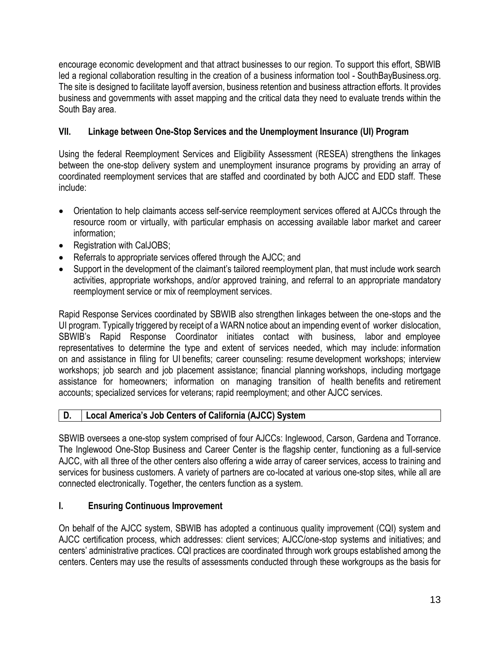encourage economic development and that attract businesses to our region. To support this effort, SBWIB led a regional collaboration resulting in the creation of a business information tool - SouthBayBusiness.org. The site is designed to facilitate layoff aversion, business retention and business attraction efforts. It provides business and governments with asset mapping and the critical data they need to evaluate trends within the South Bay area.

# **VII. Linkage between One-Stop Services and the Unemployment Insurance (UI) Program**

Using the federal Reemployment Services and Eligibility Assessment (RESEA) strengthens the linkages between the one-stop delivery system and unemployment insurance programs by providing an array of coordinated reemployment services that are staffed and coordinated by both AJCC and EDD staff. These include:

- Orientation to help claimants access self-service reemployment services offered at AJCCs through the resource room or virtually, with particular emphasis on accessing available labor market and career information;
- Registration with CalJOBS;
- Referrals to appropriate services offered through the AJCC; and
- Support in the development of the claimant's tailored reemployment plan, that must include work search activities, appropriate workshops, and/or approved training, and referral to an appropriate mandatory reemployment service or mix of reemployment services.

Rapid Response Services coordinated by SBWIB also strengthen linkages between the one-stops and the UI program. Typically triggered by receipt of a WARN notice about an impending event of worker dislocation, SBWIB's Rapid Response Coordinator initiates contact with business, labor and employee representatives to determine the type and extent of services needed, which may include: information on and assistance in filing for UI benefits; career counseling: resume development workshops; interview workshops; job search and job placement assistance; financial planning workshops, including mortgage assistance for homeowners; information on managing transition of health benefits and retirement accounts; specialized services for veterans; rapid reemployment; and other AJCC services.

# **D. Local America's Job Centers of California (AJCC) System**

SBWIB oversees a one-stop system comprised of four AJCCs: Inglewood, Carson, Gardena and Torrance. The Inglewood One-Stop Business and Career Center is the flagship center, functioning as a full-service AJCC, with all three of the other centers also offering a wide array of career services, access to training and services for business customers. A variety of partners are co-located at various one-stop sites, while all are connected electronically. Together, the centers function as a system.

# **I. Ensuring Continuous Improvement**

On behalf of the AJCC system, SBWIB has adopted a continuous quality improvement (CQI) system and AJCC certification process, which addresses: client services; AJCC/one-stop systems and initiatives; and centers' administrative practices. CQI practices are coordinated through work groups established among the centers. Centers may use the results of assessments conducted through these workgroups as the basis for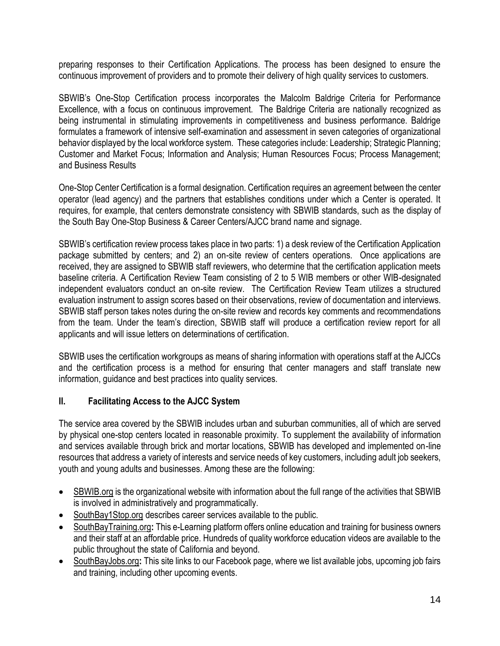preparing responses to their Certification Applications. The process has been designed to ensure the continuous improvement of providers and to promote their delivery of high quality services to customers.

SBWIB's One-Stop Certification process incorporates the Malcolm Baldrige Criteria for Performance Excellence, with a focus on continuous improvement. The Baldrige Criteria are nationally recognized as being instrumental in stimulating improvements in competitiveness and business performance. Baldrige formulates a framework of intensive self-examination and assessment in seven categories of organizational behavior displayed by the local workforce system. These categories include: Leadership; Strategic Planning; Customer and Market Focus; Information and Analysis; Human Resources Focus; Process Management; and Business Results

One-Stop Center Certification is a formal designation. Certification requires an agreement between the center operator (lead agency) and the partners that establishes conditions under which a Center is operated. It requires, for example, that centers demonstrate consistency with SBWIB standards, such as the display of the South Bay One-Stop Business & Career Centers/AJCC brand name and signage.

SBWIB's certification review process takes place in two parts: 1) a desk review of the Certification Application package submitted by centers; and 2) an on-site review of centers operations. Once applications are received, they are assigned to SBWIB staff reviewers, who determine that the certification application meets baseline criteria. A Certification Review Team consisting of 2 to 5 WIB members or other WIB-designated independent evaluators conduct an on-site review. The Certification Review Team utilizes a structured evaluation instrument to assign scores based on their observations, review of documentation and interviews. SBWIB staff person takes notes during the on-site review and records key comments and recommendations from the team. Under the team's direction, SBWIB staff will produce a certification review report for all applicants and will issue letters on determinations of certification.

SBWIB uses the certification workgroups as means of sharing information with operations staff at the AJCCs and the certification process is a method for ensuring that center managers and staff translate new information, guidance and best practices into quality services.

#### **II. Facilitating Access to the AJCC System**

The service area covered by the SBWIB includes urban and suburban communities, all of which are served by physical one-stop centers located in reasonable proximity. To supplement the availability of information and services available through brick and mortar locations, SBWIB has developed and implemented on-line resources that address a variety of interests and service needs of key customers, including adult job seekers, youth and young adults and businesses. Among these are the following:

- SBWIB.org is the organizational website with information about the full range of the activities that SBWIB is involved in administratively and programmatically.
- SouthBay1Stop.org describes career services available to the public.
- SouthBayTraining.org**:** This e-Learning platform offers online education and training for business owners and their staff at an affordable price. Hundreds of quality workforce education videos are available to the public throughout the state of California and beyond.
- SouthBayJobs.org**:** This site links to our Facebook page, where we list available jobs, upcoming job fairs and training, including other upcoming events.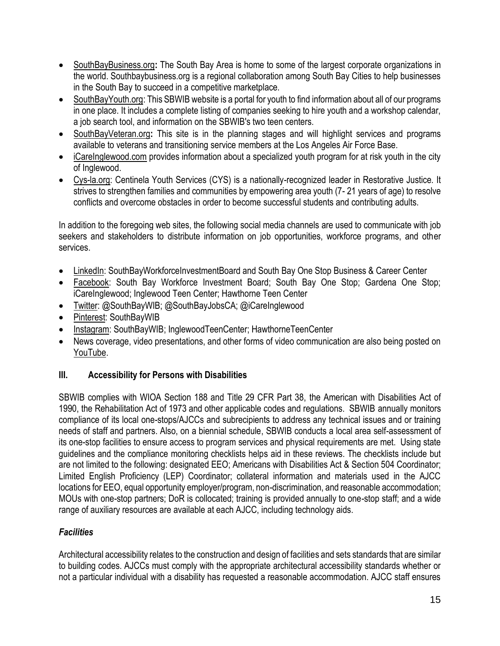- SouthBayBusiness.org**:** The South Bay Area is home to some of the largest corporate organizations in the world. Southbaybusiness.org is a regional collaboration among South Bay Cities to help businesses in the South Bay to succeed in a competitive marketplace.
- SouthBayYouth.org: This SBWIB website is a portal for youth to find information about all of our programs in one place. It includes a complete listing of companies seeking to hire youth and a workshop calendar, a job search tool, and information on the SBWIB's two teen centers.
- SouthBayVeteran.org**:** This site is in the planning stages and will highlight services and programs available to veterans and transitioning service members at the Los Angeles Air Force Base.
- iCareInglewood.com provides information about a specialized youth program for at risk youth in the city of Inglewood.
- Cys-la.org: Centinela Youth Services (CYS) is a nationally-recognized leader in Restorative Justice. It strives to strengthen families and communities by empowering area youth (7- 21 years of age) to resolve conflicts and overcome obstacles in order to become successful students and contributing adults.

In addition to the foregoing web sites, the following social media channels are used to communicate with job seekers and stakeholders to distribute information on job opportunities, workforce programs, and other services.

- LinkedIn: SouthBayWorkforceInvestmentBoard and South Bay One Stop Business & Career Center
- Facebook: South Bay Workforce Investment Board; South Bay One Stop; Gardena One Stop; iCareInglewood; Inglewood Teen Center; Hawthorne Teen Center
- Twitter: @SouthBayWIB; @SouthBayJobsCA; @iCareInglewood
- Pinterest: SouthBayWIB
- Instagram: SouthBayWIB; InglewoodTeenCenter; HawthorneTeenCenter
- News coverage, video presentations, and other forms of video communication are also being posted on YouTube.

# **III. Accessibility for Persons with Disabilities**

SBWIB complies with WIOA Section 188 and Title 29 CFR Part 38, the American with Disabilities Act of 1990, the Rehabilitation Act of 1973 and other applicable codes and regulations. SBWIB annually monitors compliance of its local one-stops/AJCCs and subrecipients to address any technical issues and or training needs of staff and partners. Also, on a biennial schedule, SBWIB conducts a local area self-assessment of its one-stop facilities to ensure access to program services and physical requirements are met. Using state guidelines and the compliance monitoring checklists helps aid in these reviews. The checklists include but are not limited to the following: designated EEO; Americans with Disabilities Act & Section 504 Coordinator; Limited English Proficiency (LEP) Coordinator; collateral information and materials used in the AJCC locations for EEO, equal opportunity employer/program, non-discrimination, and reasonable accommodation; MOUs with one-stop partners; DoR is collocated; training is provided annually to one-stop staff; and a wide range of auxiliary resources are available at each AJCC, including technology aids.

# *Facilities*

Architectural accessibility relates to the construction and design of facilities and sets standards that are similar to building codes. AJCCs must comply with the appropriate architectural accessibility standards whether or not a particular individual with a disability has requested a reasonable accommodation. AJCC staff ensures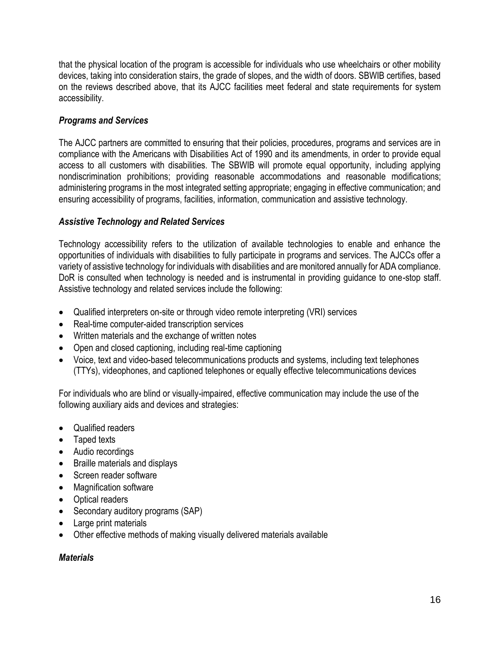that the physical location of the program is accessible for individuals who use wheelchairs or other mobility devices, taking into consideration stairs, the grade of slopes, and the width of doors. SBWIB certifies, based on the reviews described above, that its AJCC facilities meet federal and state requirements for system accessibility.

# *Programs and Services*

The AJCC partners are committed to ensuring that their policies, procedures, programs and services are in compliance with the Americans with Disabilities Act of 1990 and its amendments, in order to provide equal access to all customers with disabilities. The SBWIB will promote equal opportunity, including applying nondiscrimination prohibitions; providing reasonable accommodations and reasonable modifications; administering programs in the most integrated setting appropriate; engaging in effective communication; and ensuring accessibility of programs, facilities, information, communication and assistive technology.

### *Assistive Technology and Related Services*

Technology accessibility refers to the utilization of available technologies to enable and enhance the opportunities of individuals with disabilities to fully participate in programs and services. The AJCCs offer a variety of assistive technology for individuals with disabilities and are monitored annually for ADA compliance. DoR is consulted when technology is needed and is instrumental in providing guidance to one-stop staff. Assistive technology and related services include the following:

- Qualified interpreters on-site or through video remote interpreting (VRI) services
- Real-time computer-aided transcription services
- Written materials and the exchange of written notes
- Open and closed captioning, including real-time captioning
- Voice, text and video-based telecommunications products and systems, including text telephones (TTYs), videophones, and captioned telephones or equally effective telecommunications devices

For individuals who are blind or visually-impaired, effective communication may include the use of the following auxiliary aids and devices and strategies:

- Qualified readers
- Taped texts
- Audio recordings
- Braille materials and displays
- Screen reader software
- Magnification software
- Optical readers
- Secondary auditory programs (SAP)
- Large print materials
- Other effective methods of making visually delivered materials available

#### *Materials*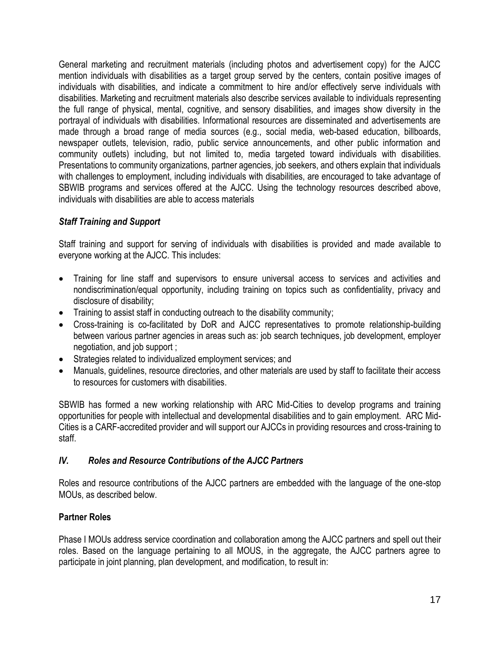General marketing and recruitment materials (including photos and advertisement copy) for the AJCC mention individuals with disabilities as a target group served by the centers, contain positive images of individuals with disabilities, and indicate a commitment to hire and/or effectively serve individuals with disabilities. Marketing and recruitment materials also describe services available to individuals representing the full range of physical, mental, cognitive, and sensory disabilities, and images show diversity in the portrayal of individuals with disabilities. Informational resources are disseminated and advertisements are made through a broad range of media sources (e.g., social media, web-based education, billboards, newspaper outlets, television, radio, public service announcements, and other public information and community outlets) including, but not limited to, media targeted toward individuals with disabilities. Presentations to community organizations, partner agencies, job seekers, and others explain that individuals with challenges to employment, including individuals with disabilities, are encouraged to take advantage of SBWIB programs and services offered at the AJCC. Using the technology resources described above, individuals with disabilities are able to access materials

# *Staff Training and Support*

Staff training and support for serving of individuals with disabilities is provided and made available to everyone working at the AJCC. This includes:

- Training for line staff and supervisors to ensure universal access to services and activities and nondiscrimination/equal opportunity, including training on topics such as confidentiality, privacy and disclosure of disability;
- Training to assist staff in conducting outreach to the disability community;
- Cross-training is co-facilitated by DoR and AJCC representatives to promote relationship-building between various partner agencies in areas such as: job search techniques, job development, employer negotiation, and job support ;
- Strategies related to individualized employment services; and
- Manuals, guidelines, resource directories, and other materials are used by staff to facilitate their access to resources for customers with disabilities.

SBWIB has formed a new working relationship with ARC Mid-Cities to develop programs and training opportunities for people with intellectual and developmental disabilities and to gain employment. ARC Mid-Cities is a CARF-accredited provider and will support our AJCCs in providing resources and cross-training to staff.

#### *IV. Roles and Resource Contributions of the AJCC Partners*

Roles and resource contributions of the AJCC partners are embedded with the language of the one-stop MOUs, as described below.

#### **Partner Roles**

Phase I MOUs address service coordination and collaboration among the AJCC partners and spell out their roles. Based on the language pertaining to all MOUS, in the aggregate, the AJCC partners agree to participate in joint planning, plan development, and modification, to result in: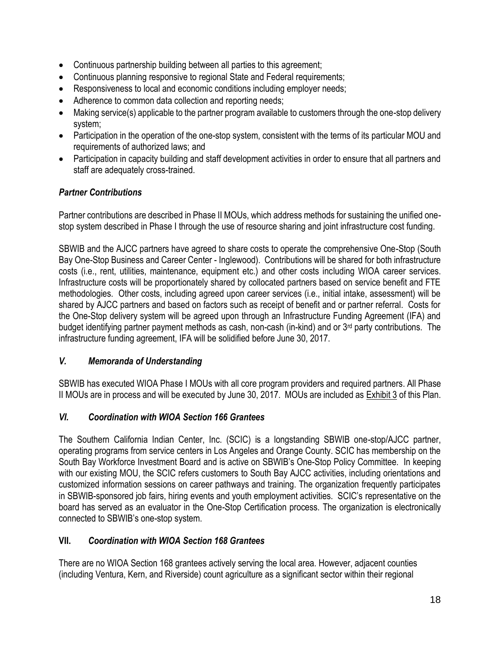- Continuous partnership building between all parties to this agreement;
- Continuous planning responsive to regional State and Federal requirements;
- Responsiveness to local and economic conditions including employer needs;
- Adherence to common data collection and reporting needs;
- Making service(s) applicable to the partner program available to customers through the one-stop delivery system;
- Participation in the operation of the one-stop system, consistent with the terms of its particular MOU and requirements of authorized laws; and
- Participation in capacity building and staff development activities in order to ensure that all partners and staff are adequately cross-trained.

### *Partner Contributions*

Partner contributions are described in Phase II MOUs, which address methods for sustaining the unified onestop system described in Phase I through the use of resource sharing and joint infrastructure cost funding.

SBWIB and the AJCC partners have agreed to share costs to operate the comprehensive One-Stop (South Bay One-Stop Business and Career Center - Inglewood). Contributions will be shared for both infrastructure costs (i.e., rent, utilities, maintenance, equipment etc.) and other costs including WIOA career services. Infrastructure costs will be proportionately shared by collocated partners based on service benefit and FTE methodologies. Other costs, including agreed upon career services (i.e., initial intake, assessment) will be shared by AJCC partners and based on factors such as receipt of benefit and or partner referral. Costs for the One-Stop delivery system will be agreed upon through an Infrastructure Funding Agreement (IFA) and budget identifying partner payment methods as cash, non-cash (in-kind) and or 3rd party contributions. The infrastructure funding agreement, IFA will be solidified before June 30, 2017.

#### *V. Memoranda of Understanding*

SBWIB has executed WIOA Phase I MOUs with all core program providers and required partners. All Phase II MOUs are in process and will be executed by June 30, 2017. MOUs are included as Exhibit 3 of this Plan.

#### *VI. Coordination with WIOA Section 166 Grantees*

The Southern California Indian Center, Inc. (SCIC) is a longstanding SBWIB one-stop/AJCC partner, operating programs from service centers in Los Angeles and Orange County. SCIC has membership on the South Bay Workforce Investment Board and is active on SBWIB's One-Stop Policy Committee. In keeping with our existing MOU, the SCIC refers customers to South Bay AJCC activities, including orientations and customized information sessions on career pathways and training. The organization frequently participates in SBWIB-sponsored job fairs, hiring events and youth employment activities. SCIC's representative on the board has served as an evaluator in the One-Stop Certification process. The organization is electronically connected to SBWIB's one-stop system.

#### **VII.** *Coordination with WIOA Section 168 Grantees*

There are no WIOA Section 168 grantees actively serving the local area. However, adjacent counties (including Ventura, Kern, and Riverside) count agriculture as a significant sector within their regional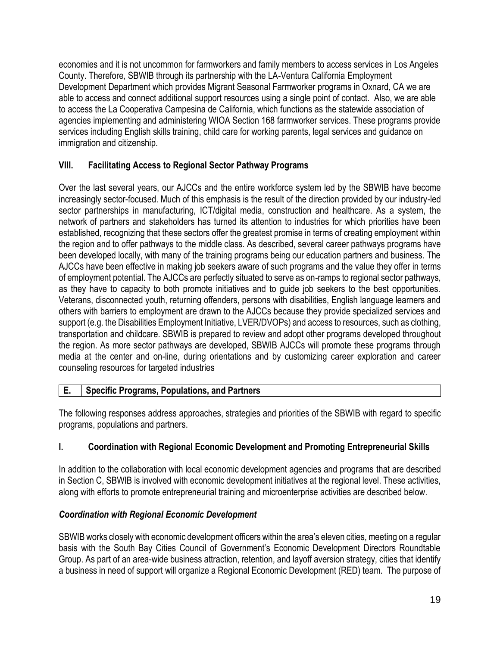economies and it is not uncommon for farmworkers and family members to access services in Los Angeles County. Therefore, SBWIB through its partnership with the LA-Ventura California Employment Development Department which provides Migrant Seasonal Farmworker programs in Oxnard, CA we are able to access and connect additional support resources using a single point of contact. Also, we are able to access the La Cooperativa Campesina de California, which functions as the statewide association of agencies implementing and administering WIOA Section 168 farmworker services. These programs provide services including English skills training, child care for working parents, legal services and guidance on immigration and citizenship.

# **VIII. Facilitating Access to Regional Sector Pathway Programs**

Over the last several years, our AJCCs and the entire workforce system led by the SBWIB have become increasingly sector-focused. Much of this emphasis is the result of the direction provided by our industry-led sector partnerships in manufacturing, ICT/digital media, construction and healthcare. As a system, the network of partners and stakeholders has turned its attention to industries for which priorities have been established, recognizing that these sectors offer the greatest promise in terms of creating employment within the region and to offer pathways to the middle class. As described, several career pathways programs have been developed locally, with many of the training programs being our education partners and business. The AJCCs have been effective in making job seekers aware of such programs and the value they offer in terms of employment potential. The AJCCs are perfectly situated to serve as on-ramps to regional sector pathways, as they have to capacity to both promote initiatives and to guide job seekers to the best opportunities. Veterans, disconnected youth, returning offenders, persons with disabilities, English language learners and others with barriers to employment are drawn to the AJCCs because they provide specialized services and support (e.g. the Disabilities Employment Initiative, LVER/DVOPs) and access to resources, such as clothing, transportation and childcare. SBWIB is prepared to review and adopt other programs developed throughout the region. As more sector pathways are developed, SBWIB AJCCs will promote these programs through media at the center and on-line, during orientations and by customizing career exploration and career counseling resources for targeted industries

#### **E. Specific Programs, Populations, and Partners**

The following responses address approaches, strategies and priorities of the SBWIB with regard to specific programs, populations and partners.

# **I. Coordination with Regional Economic Development and Promoting Entrepreneurial Skills**

In addition to the collaboration with local economic development agencies and programs that are described in Section C, SBWIB is involved with economic development initiatives at the regional level. These activities, along with efforts to promote entrepreneurial training and microenterprise activities are described below.

# *Coordination with Regional Economic Development*

SBWIB works closely with economic development officers within the area's eleven cities, meeting on a regular basis with the South Bay Cities Council of Government's Economic Development Directors Roundtable Group. As part of an area-wide business attraction, retention, and layoff aversion strategy, cities that identify a business in need of support will organize a Regional Economic Development (RED) team. The purpose of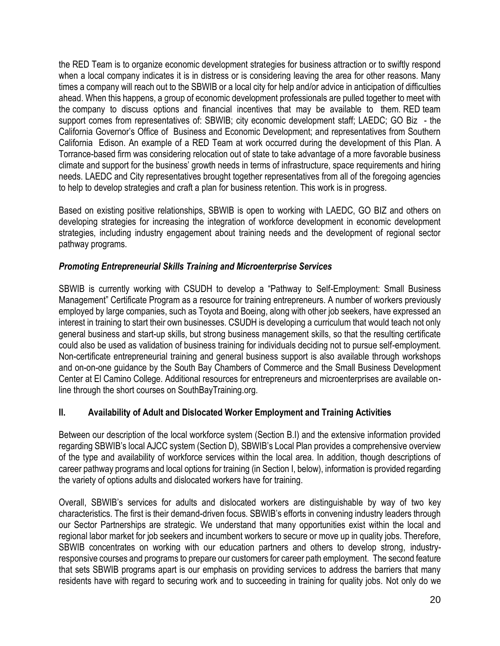the RED Team is to organize economic development strategies for business attraction or to swiftly respond when a local company indicates it is in distress or is considering leaving the area for other reasons. Many times a company will reach out to the SBWIB or a local city for help and/or advice in anticipation of difficulties ahead. When this happens, a group of economic development professionals are pulled together to meet with the company to discuss options and financial incentives that may be available to them. RED team support comes from representatives of: SBWIB; city economic development staff; LAEDC; GO Biz - the California Governor's Office of Business and Economic Development; and representatives from Southern California Edison. An example of a RED Team at work occurred during the development of this Plan. A Torrance-based firm was considering relocation out of state to take advantage of a more favorable business climate and support for the business' growth needs in terms of infrastructure, space requirements and hiring needs. LAEDC and City representatives brought together representatives from all of the foregoing agencies to help to develop strategies and craft a plan for business retention. This work is in progress.

Based on existing positive relationships, SBWIB is open to working with LAEDC, GO BIZ and others on developing strategies for increasing the integration of workforce development in economic development strategies, including industry engagement about training needs and the development of regional sector pathway programs.

# *Promoting Entrepreneurial Skills Training and Microenterprise Services*

SBWIB is currently working with CSUDH to develop a "Pathway to Self-Employment: Small Business Management" Certificate Program as a resource for training entrepreneurs. A number of workers previously employed by large companies, such as Toyota and Boeing, along with other job seekers, have expressed an interest in training to start their own businesses. CSUDH is developing a curriculum that would teach not only general business and start-up skills, but strong business management skills, so that the resulting certificate could also be used as validation of business training for individuals deciding not to pursue self-employment. Non-certificate entrepreneurial training and general business support is also available through workshops and on-on-one guidance by the South Bay Chambers of Commerce and the Small Business Development Center at El Camino College. Additional resources for entrepreneurs and microenterprises are available online through the short courses on SouthBayTraining.org.

# **II. Availability of Adult and Dislocated Worker Employment and Training Activities**

Between our description of the local workforce system (Section B.I) and the extensive information provided regarding SBWIB's local AJCC system (Section D), SBWIB's Local Plan provides a comprehensive overview of the type and availability of workforce services within the local area. In addition, though descriptions of career pathway programs and local options for training (in Section I, below), information is provided regarding the variety of options adults and dislocated workers have for training.

Overall, SBWIB's services for adults and dislocated workers are distinguishable by way of two key characteristics. The first is their demand-driven focus. SBWIB's efforts in convening industry leaders through our Sector Partnerships are strategic. We understand that many opportunities exist within the local and regional labor market for job seekers and incumbent workers to secure or move up in quality jobs. Therefore, SBWIB concentrates on working with our education partners and others to develop strong, industryresponsive courses and programs to prepare our customers for career path employment. The second feature that sets SBWIB programs apart is our emphasis on providing services to address the barriers that many residents have with regard to securing work and to succeeding in training for quality jobs. Not only do we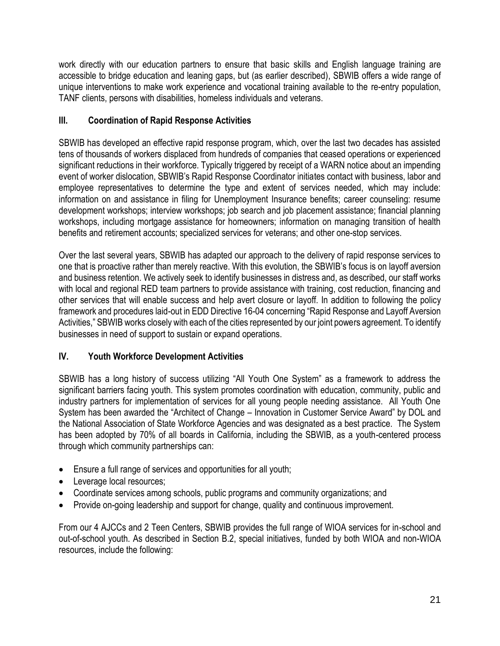work directly with our education partners to ensure that basic skills and English language training are accessible to bridge education and leaning gaps, but (as earlier described), SBWIB offers a wide range of unique interventions to make work experience and vocational training available to the re-entry population, TANF clients, persons with disabilities, homeless individuals and veterans.

# **III. Coordination of Rapid Response Activities**

SBWIB has developed an effective rapid response program, which, over the last two decades has assisted tens of thousands of workers displaced from hundreds of companies that ceased operations or experienced significant reductions in their workforce. Typically triggered by receipt of a WARN notice about an impending event of worker dislocation, SBWIB's Rapid Response Coordinator initiates contact with business, labor and employee representatives to determine the type and extent of services needed, which may include: information on and assistance in filing for Unemployment Insurance benefits; career counseling: resume development workshops; interview workshops; job search and job placement assistance; financial planning workshops, including mortgage assistance for homeowners; information on managing transition of health benefits and retirement accounts; specialized services for veterans; and other one-stop services.

Over the last several years, SBWIB has adapted our approach to the delivery of rapid response services to one that is proactive rather than merely reactive. With this evolution, the SBWIB's focus is on layoff aversion and business retention. We actively seek to identify businesses in distress and, as described, our staff works with local and regional RED team partners to provide assistance with training, cost reduction, financing and other services that will enable success and help avert closure or layoff. In addition to following the policy framework and procedures laid-out in EDD Directive 16-04 concerning "Rapid Response and Layoff Aversion Activities," SBWIB works closely with each of the cities represented by our joint powers agreement. To identify businesses in need of support to sustain or expand operations.

# **IV. Youth Workforce Development Activities**

SBWIB has a long history of success utilizing "All Youth One System" as a framework to address the significant barriers facing youth. This system promotes coordination with education, community, public and industry partners for implementation of services for all young people needing assistance. All Youth One System has been awarded the "Architect of Change – Innovation in Customer Service Award" by DOL and the National Association of State Workforce Agencies and was designated as a best practice. The System has been adopted by 70% of all boards in California, including the SBWIB, as a youth-centered process through which community partnerships can:

- Ensure a full range of services and opportunities for all youth;
- Leverage local resources;
- Coordinate services among schools, public programs and community organizations; and
- Provide on-going leadership and support for change, quality and continuous improvement.

From our 4 AJCCs and 2 Teen Centers, SBWIB provides the full range of WIOA services for in-school and out-of-school youth. As described in Section B.2, special initiatives, funded by both WIOA and non-WIOA resources, include the following: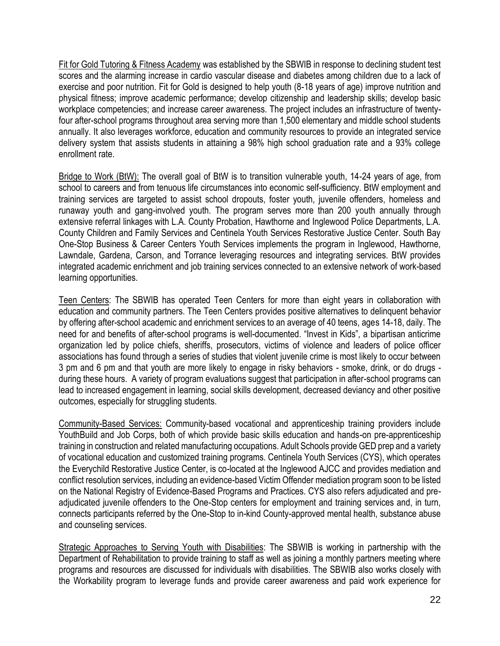Fit for Gold Tutoring & Fitness Academy was established by the SBWIB in response to declining student test scores and the alarming increase in cardio vascular disease and diabetes among children due to a lack of exercise and poor nutrition. Fit for Gold is designed to help youth (8-18 years of age) improve nutrition and physical fitness; improve academic performance; develop citizenship and leadership skills; develop basic workplace competencies; and increase career awareness. The project includes an infrastructure of twentyfour after-school programs throughout area serving more than 1,500 elementary and middle school students annually. It also leverages workforce, education and community resources to provide an integrated service delivery system that assists students in attaining a 98% high school graduation rate and a 93% college enrollment rate.

Bridge to Work (BtW): The overall goal of BtW is to transition vulnerable youth, 14-24 years of age, from school to careers and from tenuous life circumstances into economic self-sufficiency. BtW employment and training services are targeted to assist school dropouts, foster youth, juvenile offenders, homeless and runaway youth and gang-involved youth. The program serves more than 200 youth annually through extensive referral linkages with L.A. County Probation, Hawthorne and Inglewood Police Departments, L.A. County Children and Family Services and Centinela Youth Services Restorative Justice Center. South Bay One-Stop Business & Career Centers Youth Services implements the program in Inglewood, Hawthorne, Lawndale, Gardena, Carson, and Torrance leveraging resources and integrating services. BtW provides integrated academic enrichment and job training services connected to an extensive network of work-based learning opportunities.

Teen Centers: The SBWIB has operated Teen Centers for more than eight years in collaboration with education and community partners. The Teen Centers provides positive alternatives to delinquent behavior by offering after-school academic and enrichment services to an average of 40 teens, ages 14-18, daily. The need for and benefits of after-school programs is well-documented. "Invest in Kids", a bipartisan anticrime organization led by police chiefs, sheriffs, prosecutors, victims of violence and leaders of police officer associations has found through a series of studies that violent juvenile crime is most likely to occur between 3 pm and 6 pm and that youth are more likely to engage in risky behaviors - smoke, drink, or do drugs during these hours. A variety of program evaluations suggest that participation in after-school programs can lead to increased engagement in learning, social skills development, decreased deviancy and other positive outcomes, especially for struggling students.

Community-Based Services: Community-based vocational and apprenticeship training providers include YouthBuild and Job Corps, both of which provide basic skills education and hands-on pre-apprenticeship training in construction and related manufacturing occupations. Adult Schools provide GED prep and a variety of vocational education and customized training programs. Centinela Youth Services (CYS), which operates the Everychild Restorative Justice Center, is co-located at the Inglewood AJCC and provides mediation and conflict resolution services, including an evidence-based Victim Offender mediation program soon to be listed on the National Registry of Evidence-Based Programs and Practices. CYS also refers adjudicated and preadjudicated juvenile offenders to the One-Stop centers for employment and training services and, in turn, connects participants referred by the One-Stop to in-kind County-approved mental health, substance abuse and counseling services.

Strategic Approaches to Serving Youth with Disabilities: The SBWIB is working in partnership with the Department of Rehabilitation to provide training to staff as well as joining a monthly partners meeting where programs and resources are discussed for individuals with disabilities. The SBWIB also works closely with the Workability program to leverage funds and provide career awareness and paid work experience for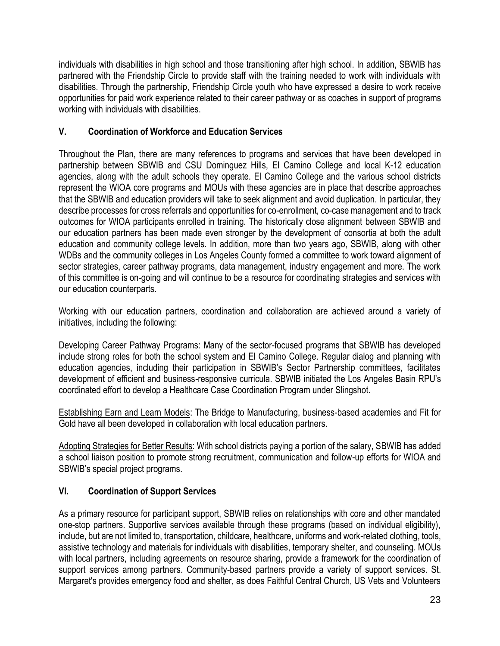individuals with disabilities in high school and those transitioning after high school. In addition, SBWIB has partnered with the Friendship Circle to provide staff with the training needed to work with individuals with disabilities. Through the partnership, Friendship Circle youth who have expressed a desire to work receive opportunities for paid work experience related to their career pathway or as coaches in support of programs working with individuals with disabilities.

# **V. Coordination of Workforce and Education Services**

Throughout the Plan, there are many references to programs and services that have been developed in partnership between SBWIB and CSU Dominguez Hills, El Camino College and local K-12 education agencies, along with the adult schools they operate. El Camino College and the various school districts represent the WIOA core programs and MOUs with these agencies are in place that describe approaches that the SBWIB and education providers will take to seek alignment and avoid duplication. In particular, they describe processes for cross referrals and opportunities for co-enrollment, co-case management and to track outcomes for WIOA participants enrolled in training. The historically close alignment between SBWIB and our education partners has been made even stronger by the development of consortia at both the adult education and community college levels. In addition, more than two years ago, SBWIB, along with other WDBs and the community colleges in Los Angeles County formed a committee to work toward alignment of sector strategies, career pathway programs, data management, industry engagement and more. The work of this committee is on-going and will continue to be a resource for coordinating strategies and services with our education counterparts.

Working with our education partners, coordination and collaboration are achieved around a variety of initiatives, including the following:

Developing Career Pathway Programs: Many of the sector-focused programs that SBWIB has developed include strong roles for both the school system and El Camino College. Regular dialog and planning with education agencies, including their participation in SBWIB's Sector Partnership committees, facilitates development of efficient and business-responsive curricula. SBWIB initiated the Los Angeles Basin RPU's coordinated effort to develop a Healthcare Case Coordination Program under Slingshot.

Establishing Earn and Learn Models: The Bridge to Manufacturing, business-based academies and Fit for Gold have all been developed in collaboration with local education partners.

Adopting Strategies for Better Results: With school districts paying a portion of the salary, SBWIB has added a school liaison position to promote strong recruitment, communication and follow-up efforts for WIOA and SBWIB's special project programs.

# **VI. Coordination of Support Services**

As a primary resource for participant support, SBWIB relies on relationships with core and other mandated one-stop partners. Supportive services available through these programs (based on individual eligibility), include, but are not limited to, transportation, childcare, healthcare, uniforms and work-related clothing, tools, assistive technology and materials for individuals with disabilities, temporary shelter, and counseling. MOUs with local partners, including agreements on resource sharing, provide a framework for the coordination of support services among partners. Community-based partners provide a variety of support services. St. Margaret's provides emergency food and shelter, as does Faithful Central Church, US Vets and Volunteers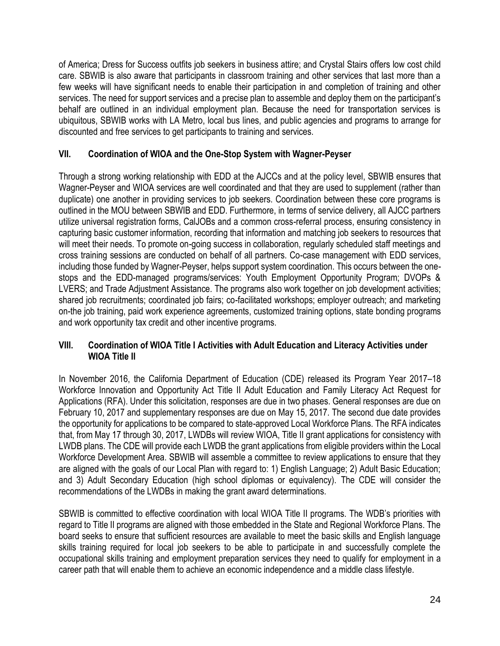of America; Dress for Success outfits job seekers in business attire; and Crystal Stairs offers low cost child care. SBWIB is also aware that participants in classroom training and other services that last more than a few weeks will have significant needs to enable their participation in and completion of training and other services. The need for support services and a precise plan to assemble and deploy them on the participant's behalf are outlined in an individual employment plan. Because the need for transportation services is ubiquitous, SBWIB works with LA Metro, local bus lines, and public agencies and programs to arrange for discounted and free services to get participants to training and services.

# **VII. Coordination of WIOA and the One-Stop System with Wagner-Peyser**

Through a strong working relationship with EDD at the AJCCs and at the policy level, SBWIB ensures that Wagner-Peyser and WIOA services are well coordinated and that they are used to supplement (rather than duplicate) one another in providing services to job seekers. Coordination between these core programs is outlined in the MOU between SBWIB and EDD. Furthermore, in terms of service delivery, all AJCC partners utilize universal registration forms, CalJOBs and a common cross-referral process, ensuring consistency in capturing basic customer information, recording that information and matching job seekers to resources that will meet their needs. To promote on-going success in collaboration, regularly scheduled staff meetings and cross training sessions are conducted on behalf of all partners. Co-case management with EDD services, including those funded by Wagner-Peyser, helps support system coordination. This occurs between the onestops and the EDD-managed programs/services: Youth Employment Opportunity Program; DVOPs & LVERS; and Trade Adjustment Assistance. The programs also work together on job development activities; shared job recruitments; coordinated job fairs; co-facilitated workshops; employer outreach; and marketing on-the job training, paid work experience agreements, customized training options, state bonding programs and work opportunity tax credit and other incentive programs.

### **VIII. Coordination of WIOA Title I Activities with Adult Education and Literacy Activities under WIOA Title II**

In November 2016, the California Department of Education (CDE) released its Program Year 2017–18 Workforce Innovation and Opportunity Act Title II Adult Education and Family Literacy Act Request for Applications (RFA). Under this solicitation, responses are due in two phases. General responses are due on February 10, 2017 and supplementary responses are due on May 15, 2017. The second due date provides the opportunity for applications to be compared to state-approved Local Workforce Plans. The RFA indicates that, from May 17 through 30, 2017, LWDBs will review WIOA, Title II grant applications for consistency with LWDB plans. The CDE will provide each LWDB the grant applications from eligible providers within the Local Workforce Development Area. SBWIB will assemble a committee to review applications to ensure that they are aligned with the goals of our Local Plan with regard to: 1) English Language; 2) Adult Basic Education; and 3) Adult Secondary Education (high school diplomas or equivalency). The CDE will consider the recommendations of the LWDBs in making the grant award determinations.

SBWIB is committed to effective coordination with local WIOA Title II programs. The WDB's priorities with regard to Title II programs are aligned with those embedded in the State and Regional Workforce Plans. The board seeks to ensure that sufficient resources are available to meet the basic skills and English language skills training required for local job seekers to be able to participate in and successfully complete the occupational skills training and employment preparation services they need to qualify for employment in a career path that will enable them to achieve an economic independence and a middle class lifestyle.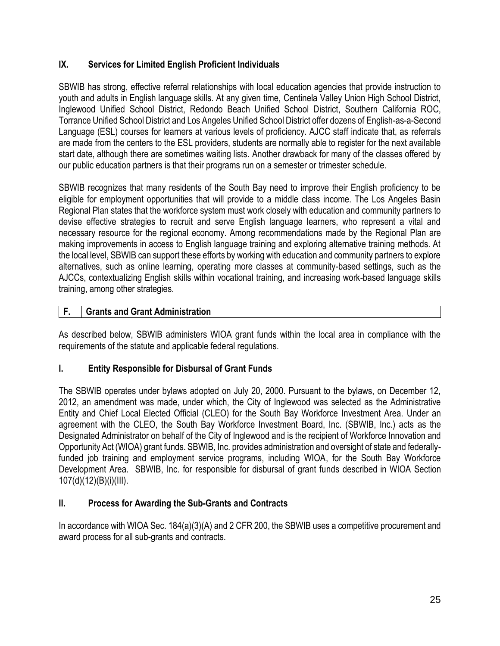# **IX. Services for Limited English Proficient Individuals**

SBWIB has strong, effective referral relationships with local education agencies that provide instruction to youth and adults in English language skills. At any given time, Centinela Valley Union High School District, Inglewood Unified School District, Redondo Beach Unified School District, Southern California ROC, Torrance Unified School District and Los Angeles Unified School District offer dozens of English-as-a-Second Language (ESL) courses for learners at various levels of proficiency. AJCC staff indicate that, as referrals are made from the centers to the ESL providers, students are normally able to register for the next available start date, although there are sometimes waiting lists. Another drawback for many of the classes offered by our public education partners is that their programs run on a semester or trimester schedule.

SBWIB recognizes that many residents of the South Bay need to improve their English proficiency to be eligible for employment opportunities that will provide to a middle class income. The Los Angeles Basin Regional Plan states that the workforce system must work closely with education and community partners to devise effective strategies to recruit and serve English language learners, who represent a vital and necessary resource for the regional economy. Among recommendations made by the Regional Plan are making improvements in access to English language training and exploring alternative training methods. At the local level, SBWIB can support these efforts by working with education and community partners to explore alternatives, such as online learning, operating more classes at community-based settings, such as the AJCCs, contextualizing English skills within vocational training, and increasing work-based language skills training, among other strategies.

# **F. Grants and Grant Administration**

As described below, SBWIB administers WIOA grant funds within the local area in compliance with the requirements of the statute and applicable federal regulations.

# **I. Entity Responsible for Disbursal of Grant Funds**

The SBWIB operates under bylaws adopted on July 20, 2000. Pursuant to the bylaws, on December 12, 2012, an amendment was made, under which, the City of Inglewood was selected as the Administrative Entity and Chief Local Elected Official (CLEO) for the South Bay Workforce Investment Area. Under an agreement with the CLEO, the South Bay Workforce Investment Board, Inc. (SBWIB, Inc.) acts as the Designated Administrator on behalf of the City of Inglewood and is the recipient of Workforce Innovation and Opportunity Act (WIOA) grant funds. SBWIB, Inc. provides administration and oversight of state and federallyfunded job training and employment service programs, including WIOA, for the South Bay Workforce Development Area. SBWIB, Inc. for responsible for disbursal of grant funds described in WIOA Section 107(d)(12)(B)(i)(III).

# **II. Process for Awarding the Sub-Grants and Contracts**

In accordance with WIOA Sec. 184(a)(3)(A) and 2 CFR 200, the SBWIB uses a competitive procurement and award process for all sub-grants and contracts.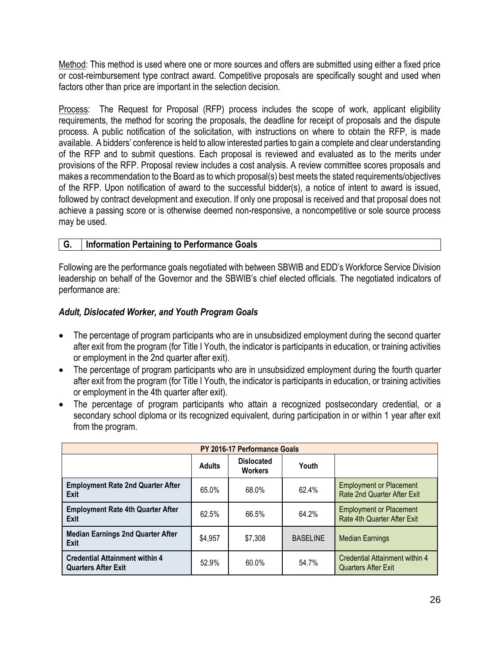Method: This method is used where one or more sources and offers are submitted using either a fixed price or cost-reimbursement type contract award. Competitive proposals are specifically sought and used when factors other than price are important in the selection decision.

Process: The Request for Proposal (RFP) process includes the scope of work, applicant eligibility requirements, the method for scoring the proposals, the deadline for receipt of proposals and the dispute process. A public notification of the solicitation, with instructions on where to obtain the RFP, is made available. A bidders' conference is held to allow interested parties to gain a complete and clear understanding of the RFP and to submit questions. Each proposal is reviewed and evaluated as to the merits under provisions of the RFP. Proposal review includes a cost analysis. A review committee scores proposals and makes a recommendation to the Board as to which proposal(s) best meets the stated requirements/objectives of the RFP. Upon notification of award to the successful bidder(s), a notice of intent to award is issued, followed by contract development and execution. If only one proposal is received and that proposal does not achieve a passing score or is otherwise deemed non-responsive, a noncompetitive or sole source process may be used.

### **G. Information Pertaining to Performance Goals**

Following are the performance goals negotiated with between SBWIB and EDD's Workforce Service Division leadership on behalf of the Governor and the SBWIB's chief elected officials. The negotiated indicators of performance are:

### *Adult, Dislocated Worker, and Youth Program Goals*

- The percentage of program participants who are in unsubsidized employment during the second quarter after exit from the program (for Title I Youth, the indicator is participants in education, or training activities or employment in the 2nd quarter after exit).
- The percentage of program participants who are in unsubsidized employment during the fourth quarter after exit from the program (for Title I Youth, the indicator is participants in education, or training activities or employment in the 4th quarter after exit).
- The percentage of program participants who attain a recognized postsecondary credential, or a secondary school diploma or its recognized equivalent, during participation in or within 1 year after exit from the program.

| PY 2016-17 Performance Goals                                        |               |                                     |                 |                                                               |
|---------------------------------------------------------------------|---------------|-------------------------------------|-----------------|---------------------------------------------------------------|
|                                                                     | <b>Adults</b> | <b>Dislocated</b><br><b>Workers</b> | Youth           |                                                               |
| <b>Employment Rate 2nd Quarter After</b><br>Exit                    | 65.0%         | 68.0%                               | 62.4%           | <b>Employment or Placement</b><br>Rate 2nd Quarter After Exit |
| <b>Employment Rate 4th Quarter After</b><br>Exit                    | 62.5%         | 66.5%                               | 64.2%           | <b>Employment or Placement</b><br>Rate 4th Quarter After Exit |
| <b>Median Earnings 2nd Quarter After</b><br><b>Exit</b>             | \$4,957       | \$7,308                             | <b>BASELINE</b> | <b>Median Earnings</b>                                        |
| <b>Credential Attainment within 4</b><br><b>Quarters After Exit</b> | 52.9%         | 60.0%                               | 54.7%           | Credential Attainment within 4<br><b>Quarters After Exit</b>  |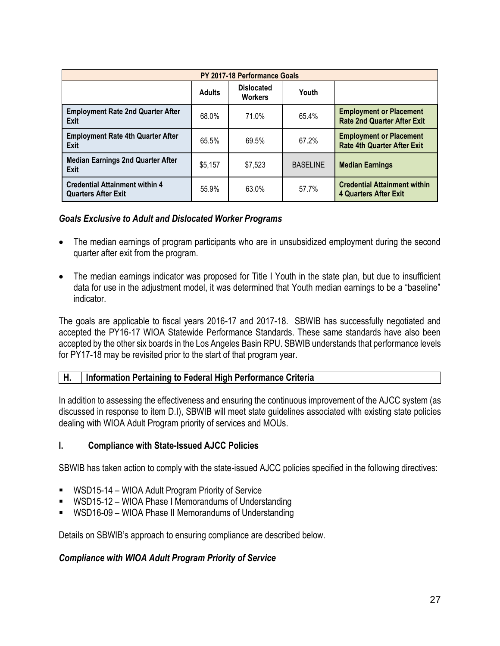| PY 2017-18 Performance Goals                                        |               |                                     |                 |                                                                      |
|---------------------------------------------------------------------|---------------|-------------------------------------|-----------------|----------------------------------------------------------------------|
|                                                                     | <b>Adults</b> | <b>Dislocated</b><br><b>Workers</b> | Youth           |                                                                      |
| <b>Employment Rate 2nd Quarter After</b><br>Exit                    | 68.0%         | 71.0%                               | 65.4%           | <b>Employment or Placement</b><br><b>Rate 2nd Quarter After Exit</b> |
| <b>Employment Rate 4th Quarter After</b><br>Exit                    | 65.5%         | 69.5%                               | 67.2%           | <b>Employment or Placement</b><br><b>Rate 4th Quarter After Exit</b> |
| <b>Median Earnings 2nd Quarter After</b><br><b>Exit</b>             | \$5,157       | \$7,523                             | <b>BASELINE</b> | <b>Median Earnings</b>                                               |
| <b>Credential Attainment within 4</b><br><b>Quarters After Exit</b> | 55.9%         | 63.0%                               | 57.7%           | <b>Credential Attainment within</b><br><b>4 Quarters After Exit</b>  |

### *Goals Exclusive to Adult and Dislocated Worker Programs*

- The median earnings of program participants who are in unsubsidized employment during the second quarter after exit from the program.
- The median earnings indicator was proposed for Title I Youth in the state plan, but due to insufficient data for use in the adjustment model, it was determined that Youth median earnings to be a "baseline" indicator.

The goals are applicable to fiscal years 2016-17 and 2017-18. SBWIB has successfully negotiated and accepted the PY16-17 WIOA Statewide Performance Standards. These same standards have also been accepted by the other six boards in the Los Angeles Basin RPU. SBWIB understands that performance levels for PY17-18 may be revisited prior to the start of that program year.

#### **H. Information Pertaining to Federal High Performance Criteria**

In addition to assessing the effectiveness and ensuring the continuous improvement of the AJCC system (as discussed in response to item D.I), SBWIB will meet state guidelines associated with existing state policies dealing with WIOA Adult Program priority of services and MOUs.

#### **I. Compliance with State-Issued AJCC Policies**

SBWIB has taken action to comply with the state-issued AJCC policies specified in the following directives:

- WSD15-14 [WIOA Adult Program Priority of Service](http://www.edd.ca.gov/jobs_and_training/pubs/wsd15-14.pdf)
- WSD15-12 [WIOA Phase I Memorandums of Understanding](http://www.edd.ca.gov/jobs_and_training/pubs/wsd15-12.pdf)
- WSD16-09 [WIOA Phase II Memorandums of Understanding](http://www.edd.ca.gov/Jobs_and_Training/pubs/wsdd-151.pdf)

Details on SBWIB's approach to ensuring compliance are described below.

#### *Compliance with WIOA Adult Program Priority of Service*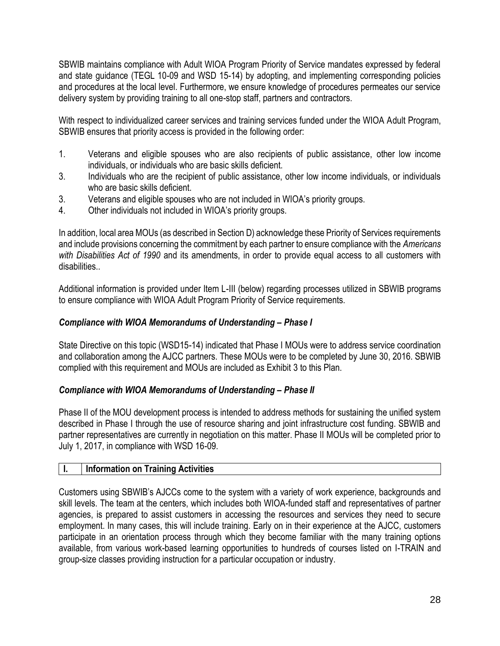SBWIB maintains compliance with Adult WIOA Program Priority of Service mandates expressed by federal and state guidance (TEGL 10-09 and WSD 15-14) by adopting, and implementing corresponding policies and procedures at the local level. Furthermore, we ensure knowledge of procedures permeates our service delivery system by providing training to all one-stop staff, partners and contractors.

With respect to individualized career services and training services funded under the WIOA Adult Program, SBWIB ensures that priority access is provided in the following order:

- 1. Veterans and eligible spouses who are also recipients of public assistance, other low income individuals, or individuals who are basic skills deficient.
- 3. Individuals who are the recipient of public assistance, other low income individuals, or individuals who are basic skills deficient.
- 3. Veterans and eligible spouses who are not included in WIOA's priority groups.
- 4. Other individuals not included in WIOA's priority groups.

In addition, local area MOUs (as described in Section D) acknowledge these Priority of Services requirements and include provisions concerning the commitment by each partner to ensure compliance with the *Americans with Disabilities Act of 1990* and its amendments, in order to provide equal access to all customers with disabilities..

Additional information is provided under Item L-III (below) regarding processes utilized in SBWIB programs to ensure compliance with WIOA Adult Program Priority of Service requirements.

#### *Compliance with WIOA Memorandums of Understanding – Phase I*

State Directive on this topic (WSD15-14) indicated that Phase I MOUs were to address service coordination and collaboration among the AJCC partners. These MOUs were to be completed by June 30, 2016. SBWIB complied with this requirement and MOUs are included as Exhibit 3 to this Plan.

#### *Compliance with WIOA Memorandums of Understanding - Phase II*

Phase II of the MOU development process is intended to address methods for sustaining the unified system described in Phase I through the use of resource sharing and joint infrastructure cost funding. SBWIB and partner representatives are currently in negotiation on this matter. Phase II MOUs will be completed prior to July 1, 2017, in compliance with WSD 16-09.

#### **I. Information on Training Activities**

Customers using SBWIB's AJCCs come to the system with a variety of work experience, backgrounds and skill levels. The team at the centers, which includes both WIOA-funded staff and representatives of partner agencies, is prepared to assist customers in accessing the resources and services they need to secure employment. In many cases, this will include training. Early on in their experience at the AJCC, customers participate in an orientation process through which they become familiar with the many training options available, from various work-based learning opportunities to hundreds of courses listed on I-TRAIN and group-size classes providing instruction for a particular occupation or industry.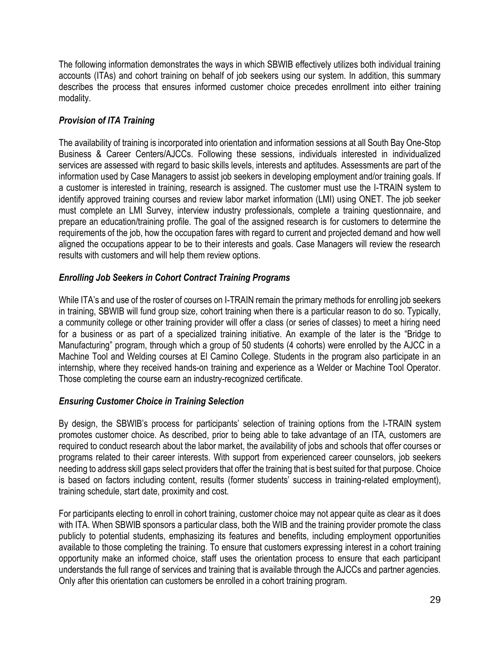The following information demonstrates the ways in which SBWIB effectively utilizes both individual training accounts (ITAs) and cohort training on behalf of job seekers using our system. In addition, this summary describes the process that ensures informed customer choice precedes enrollment into either training modality.

# *Provision of ITA Training*

The availability of training is incorporated into orientation and information sessions at all South Bay One-Stop Business & Career Centers/AJCCs. Following these sessions, individuals interested in individualized services are assessed with regard to basic skills levels, interests and aptitudes. Assessments are part of the information used by Case Managers to assist job seekers in developing employment and/or training goals. If a customer is interested in training, research is assigned. The customer must use the I-TRAIN system to identify approved training courses and review labor market information (LMI) using ONET. The job seeker must complete an LMI Survey, interview industry professionals, complete a training questionnaire, and prepare an education/training profile. The goal of the assigned research is for customers to determine the requirements of the job, how the occupation fares with regard to current and projected demand and how well aligned the occupations appear to be to their interests and goals. Case Managers will review the research results with customers and will help them review options.

### *Enrolling Job Seekers in Cohort Contract Training Programs*

While ITA's and use of the roster of courses on I-TRAIN remain the primary methods for enrolling job seekers in training, SBWIB will fund group size, cohort training when there is a particular reason to do so. Typically, a community college or other training provider will offer a class (or series of classes) to meet a hiring need for a business or as part of a specialized training initiative. An example of the later is the "Bridge to Manufacturing" program, through which a group of 50 students (4 cohorts) were enrolled by the AJCC in a Machine Tool and Welding courses at El Camino College. Students in the program also participate in an internship, where they received hands-on training and experience as a Welder or Machine Tool Operator. Those completing the course earn an industry-recognized certificate.

#### *Ensuring Customer Choice in Training Selection*

By design, the SBWIB's process for participants' selection of training options from the I-TRAIN system promotes customer choice. As described, prior to being able to take advantage of an ITA, customers are required to conduct research about the labor market, the availability of jobs and schools that offer courses or programs related to their career interests. With support from experienced career counselors, job seekers needing to address skill gaps select providers that offer the training that is best suited for that purpose. Choice is based on factors including content, results (former students' success in training-related employment), training schedule, start date, proximity and cost.

For participants electing to enroll in cohort training, customer choice may not appear quite as clear as it does with ITA. When SBWIB sponsors a particular class, both the WIB and the training provider promote the class publicly to potential students, emphasizing its features and benefits, including employment opportunities available to those completing the training. To ensure that customers expressing interest in a cohort training opportunity make an informed choice, staff uses the orientation process to ensure that each participant understands the full range of services and training that is available through the AJCCs and partner agencies. Only after this orientation can customers be enrolled in a cohort training program.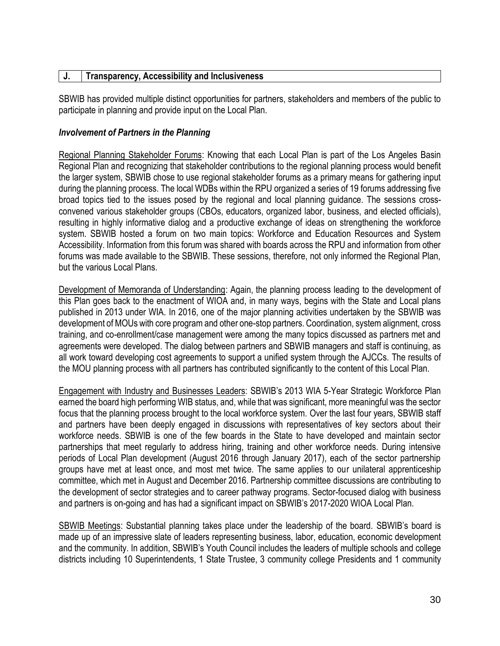#### **J. Transparency, Accessibility and Inclusiveness**

SBWIB has provided multiple distinct opportunities for partners, stakeholders and members of the public to participate in planning and provide input on the Local Plan.

#### *Involvement of Partners in the Planning*

Regional Planning Stakeholder Forums: Knowing that each Local Plan is part of the Los Angeles Basin Regional Plan and recognizing that stakeholder contributions to the regional planning process would benefit the larger system, SBWIB chose to use regional stakeholder forums as a primary means for gathering input during the planning process. The local WDBs within the RPU organized a series of 19 forums addressing five broad topics tied to the issues posed by the regional and local planning guidance. The sessions crossconvened various stakeholder groups (CBOs, educators, organized labor, business, and elected officials), resulting in highly informative dialog and a productive exchange of ideas on strengthening the workforce system. SBWIB hosted a forum on two main topics: Workforce and Education Resources and System Accessibility. Information from this forum was shared with boards across the RPU and information from other forums was made available to the SBWIB. These sessions, therefore, not only informed the Regional Plan, but the various Local Plans.

Development of Memoranda of Understanding: Again, the planning process leading to the development of this Plan goes back to the enactment of WIOA and, in many ways, begins with the State and Local plans published in 2013 under WIA. In 2016, one of the major planning activities undertaken by the SBWIB was development of MOUs with core program and other one-stop partners. Coordination, system alignment, cross training, and co-enrollment/case management were among the many topics discussed as partners met and agreements were developed. The dialog between partners and SBWIB managers and staff is continuing, as all work toward developing cost agreements to support a unified system through the AJCCs. The results of the MOU planning process with all partners has contributed significantly to the content of this Local Plan.

Engagement with Industry and Businesses Leaders: SBWIB's 2013 WIA 5-Year Strategic Workforce Plan earned the board high performing WIB status, and, while that was significant, more meaningful was the sector focus that the planning process brought to the local workforce system. Over the last four years, SBWIB staff and partners have been deeply engaged in discussions with representatives of key sectors about their workforce needs. SBWIB is one of the few boards in the State to have developed and maintain sector partnerships that meet regularly to address hiring, training and other workforce needs. During intensive periods of Local Plan development (August 2016 through January 2017), each of the sector partnership groups have met at least once, and most met twice. The same applies to our unilateral apprenticeship committee, which met in August and December 2016. Partnership committee discussions are contributing to the development of sector strategies and to career pathway programs. Sector-focused dialog with business and partners is on-going and has had a significant impact on SBWIB's 2017-2020 WIOA Local Plan.

SBWIB Meetings: Substantial planning takes place under the leadership of the board. SBWIB's board is made up of an impressive slate of leaders representing business, labor, education, economic development and the community. In addition, SBWIB's Youth Council includes the leaders of multiple schools and college districts including 10 Superintendents, 1 State Trustee, 3 community college Presidents and 1 community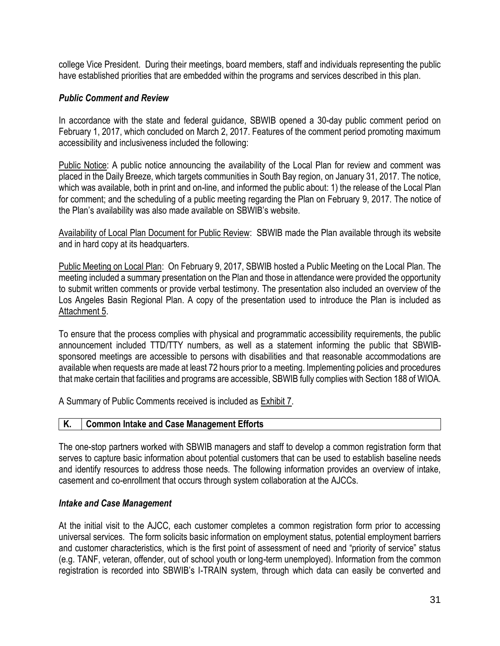college Vice President. During their meetings, board members, staff and individuals representing the public have established priorities that are embedded within the programs and services described in this plan.

#### *Public Comment and Review*

In accordance with the state and federal guidance, SBWIB opened a 30-day public comment period on February 1, 2017, which concluded on March 2, 2017. Features of the comment period promoting maximum accessibility and inclusiveness included the following:

Public Notice: A public notice announcing the availability of the Local Plan for review and comment was placed in the Daily Breeze, which targets communities in South Bay region, on January 31, 2017. The notice, which was available, both in print and on-line, and informed the public about: 1) the release of the Local Plan for comment; and the scheduling of a public meeting regarding the Plan on February 9, 2017. The notice of the Plan's availability was also made available on SBWIB's website.

Availability of Local Plan Document for Public Review: SBWIB made the Plan available through its website and in hard copy at its headquarters.

Public Meeting on Local Plan: On February 9, 2017, SBWIB hosted a Public Meeting on the Local Plan. The meeting included a summary presentation on the Plan and those in attendance were provided the opportunity to submit written comments or provide verbal testimony. The presentation also included an overview of the Los Angeles Basin Regional Plan. A copy of the presentation used to introduce the Plan is included as Attachment 5.

To ensure that the process complies with physical and programmatic accessibility requirements, the public announcement included TTD/TTY numbers, as well as a statement informing the public that SBWIBsponsored meetings are accessible to persons with disabilities and that reasonable accommodations are available when requests are made at least 72 hours prior to a meeting. Implementing policies and procedures that make certain that facilities and programs are accessible, SBWIB fully complies with Section 188 of WIOA.

A Summary of Public Comments received is included as Exhibit 7.

#### **K. Common Intake and Case Management Efforts**

The one-stop partners worked with SBWIB managers and staff to develop a common registration form that serves to capture basic information about potential customers that can be used to establish baseline needs and identify resources to address those needs. The following information provides an overview of intake, casement and co-enrollment that occurs through system collaboration at the AJCCs.

#### *Intake and Case Management*

At the initial visit to the AJCC, each customer completes a common registration form prior to accessing universal services. The form solicits basic information on employment status, potential employment barriers and customer characteristics, which is the first point of assessment of need and "priority of service" status (e.g. TANF, veteran, offender, out of school youth or long-term unemployed). Information from the common registration is recorded into SBWIB's I-TRAIN system, through which data can easily be converted and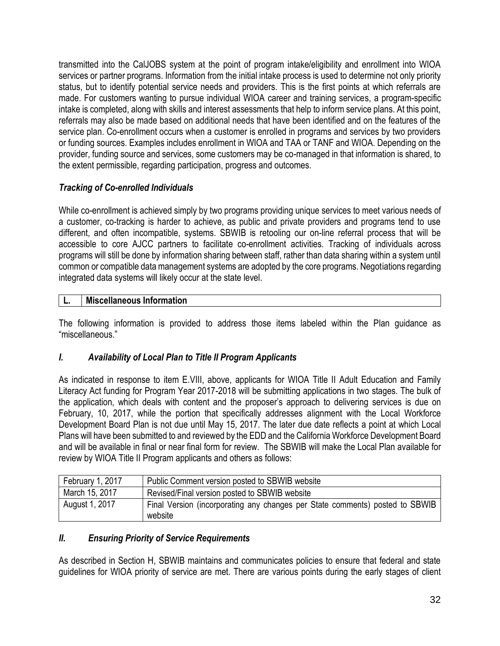transmitted into the CalJOBS system at the point of program intake/eligibility and enrollment into WIOA services or partner programs. Information from the initial intake process is used to determine not only priority status, but to identify potential service needs and providers. This is the first points at which referrals are made. For customers wanting to pursue individual WIOA career and training services, a program-specific intake is completed, along with skills and interest assessments that help to inform service plans. At this point, referrals may also be made based on additional needs that have been identified and on the features of the service plan. Co-enrollment occurs when a customer is enrolled in programs and services by two providers or funding sources. Examples includes enrollment in WIOA and TAA or TANF and WIOA. Depending on the provider, funding source and services, some customers may be co-managed in that information is shared, to the extent permissible, regarding participation, progress and outcomes.

# *Tracking of Co-enrolled Individuals*

While co-enrollment is achieved simply by two programs providing unique services to meet various needs of a customer, co-tracking is harder to achieve, as public and private providers and programs tend to use different, and often incompatible, systems. SBWIB is retooling our on-line referral process that will be accessible to core AJCC partners to facilitate co-enrollment activities. Tracking of individuals across programs will still be done by information sharing between staff, rather than data sharing within a system until common or compatible data management systems are adopted by the core programs. Negotiations regarding integrated data systems will likely occur at the state level.

# **L. Miscellaneous Information**

The following information is provided to address those items labeled within the Plan guidance as "miscellaneous."

# *I. Availability of Local Plan to Title II Program Applicants*

As indicated in response to item E.VIII, above, applicants for WIOA Title II Adult Education and Family Literacy Act funding for Program Year 2017-2018 will be submitting applications in two stages. The bulk of the application, which deals with content and the proposer's approach to delivering services is due on February, 10, 2017, while the portion that specifically addresses alignment with the Local Workforce Development Board Plan is not due until May 15, 2017. The later due date reflects a point at which Local Plans will have been submitted to and reviewed by the EDD and the California Workforce Development Board and will be available in final or near final form for review. The SBWIB will make the Local Plan available for review by WIOA Title II Program applicants and others as follows:

| February 1, 2017 | Public Comment version posted to SBWIB website                                          |
|------------------|-----------------------------------------------------------------------------------------|
| March 15, 2017   | Revised/Final version posted to SBWIB website                                           |
| August 1, 2017   | Final Version (incorporating any changes per State comments) posted to SBWIB<br>website |

# *II. Ensuring Priority of Service Requirements*

As described in Section H, SBWIB maintains and communicates policies to ensure that federal and state guidelines for WIOA priority of service are met. There are various points during the early stages of client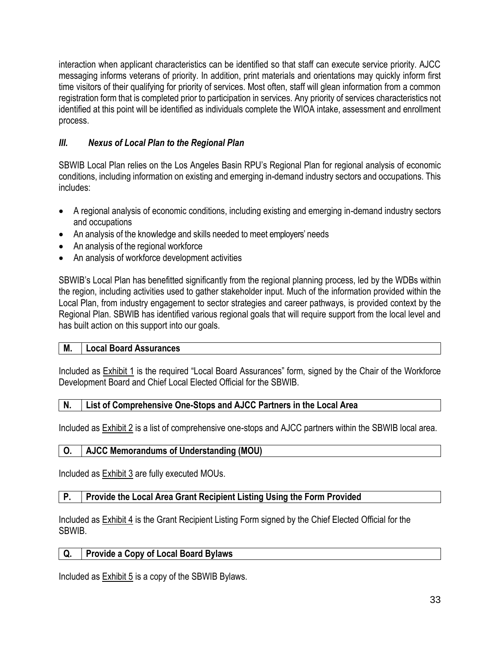interaction when applicant characteristics can be identified so that staff can execute service priority. AJCC messaging informs veterans of priority. In addition, print materials and orientations may quickly inform first time visitors of their qualifying for priority of services. Most often, staff will glean information from a common registration form that is completed prior to participation in services. Any priority of services characteristics not identified at this point will be identified as individuals complete the WIOA intake, assessment and enrollment process.

# *III. Nexus of Local Plan to the Regional Plan*

SBWIB Local Plan relies on the Los Angeles Basin RPU's Regional Plan for regional analysis of economic conditions, including information on existing and emerging in-demand industry sectors and occupations. This includes:

- A regional analysis of economic conditions, including existing and emerging in-demand industry sectors and occupations
- An analysis of the knowledge and skills needed to meet employers' needs
- An analysis of the regional workforce
- An analysis of workforce development activities

SBWIB's Local Plan has benefitted significantly from the regional planning process, led by the WDBs within the region, including activities used to gather stakeholder input. Much of the information provided within the Local Plan, from industry engagement to sector strategies and career pathways, is provided context by the Regional Plan. SBWIB has identified various regional goals that will require support from the local level and has built action on this support into our goals.

# **M. Local Board Assurances**

Included as **Exhibit 1** is the required "Local Board Assurances" form, signed by the Chair of the Workforce Development Board and Chief Local Elected Official for the SBWIB.

# **N. List of Comprehensive One-Stops and AJCC Partners in the Local Area**

Included as Exhibit 2 is a list of comprehensive one-stops and AJCC partners within the SBWIB local area.

# **O. AJCC Memorandums of Understanding (MOU)**

Included as Exhibit 3 are fully executed MOUs.

# **P. Provide the Local Area Grant Recipient Listing Using the Form Provided**

Included as **Exhibit 4** is the Grant Recipient Listing Form signed by the Chief Elected Official for the SBWIB.

# **Q. Provide a Copy of Local Board Bylaws**

Included as Exhibit 5 is a copy of the SBWIB Bylaws.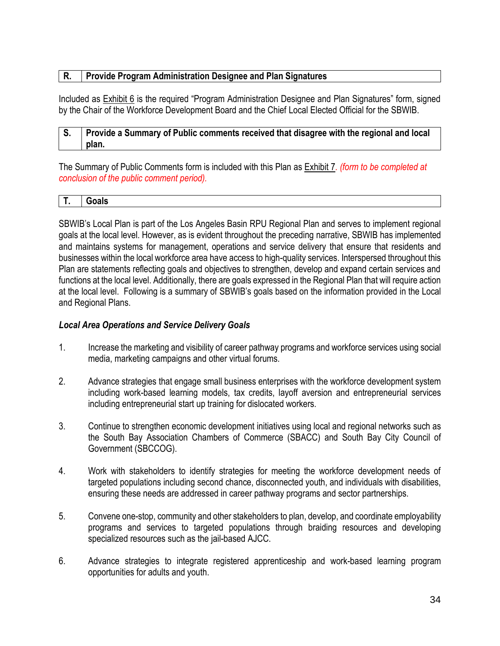### **R. Provide Program Administration Designee and Plan Signatures**

Included as Exhibit 6 is the required "Program Administration Designee and Plan Signatures" form, signed by the Chair of the Workforce Development Board and the Chief Local Elected Official for the SBWIB.

#### **S. Provide a Summary of Public comments received that disagree with the regional and local plan.**

The Summary of Public Comments form is included with this Plan as Exhibit 7*. (form to be completed at conclusion of the public comment period).*

| _ _ |
|-----|
|-----|

SBWIB's Local Plan is part of the Los Angeles Basin RPU Regional Plan and serves to implement regional goals at the local level. However, as is evident throughout the preceding narrative, SBWIB has implemented and maintains systems for management, operations and service delivery that ensure that residents and businesses within the local workforce area have access to high-quality services. Interspersed throughout this Plan are statements reflecting goals and objectives to strengthen, develop and expand certain services and functions at the local level. Additionally, there are goals expressed in the Regional Plan that will require action at the local level. Following is a summary of SBWIB's goals based on the information provided in the Local and Regional Plans.

#### *Local Area Operations and Service Delivery Goals*

- 1. Increase the marketing and visibility of career pathway programs and workforce services using social media, marketing campaigns and other virtual forums.
- 2. Advance strategies that engage small business enterprises with the workforce development system including work-based learning models, tax credits, layoff aversion and entrepreneurial services including entrepreneurial start up training for dislocated workers.
- 3. Continue to strengthen economic development initiatives using local and regional networks such as the South Bay Association Chambers of Commerce (SBACC) and South Bay City Council of Government (SBCCOG).
- 4. Work with stakeholders to identify strategies for meeting the workforce development needs of targeted populations including second chance, disconnected youth, and individuals with disabilities, ensuring these needs are addressed in career pathway programs and sector partnerships.
- 5. Convene one-stop, community and other stakeholders to plan, develop, and coordinate employability programs and services to targeted populations through braiding resources and developing specialized resources such as the jail-based AJCC.
- 6. Advance strategies to integrate registered apprenticeship and work-based learning program opportunities for adults and youth.